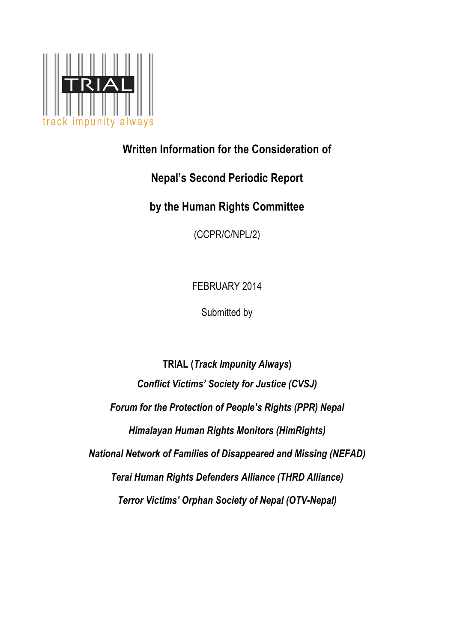

# **Written Information for the Consideration of**

# **Nepal's Second Periodic Report**

**by the Human Rights Committee** 

(CCPR/C/NPL/2)

FEBRUARY 2014

Submitted by

**TRIAL (***Track Impunity Always***)** *Conflict Victims' Society for Justice (CVSJ) Forum for the Protection of People's Rights (PPR) Nepal Himalayan Human Rights Monitors (HimRights) National Network of Families of Disappeared and Missing (NEFAD) Terai Human Rights Defenders Alliance (THRD Alliance) Terror Victims' Orphan Society of Nepal (OTV-Nepal)*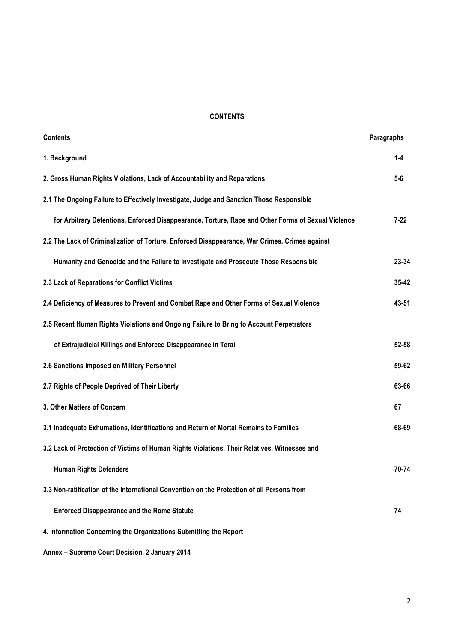## **CONTENTS**

| <b>Contents</b>                                                                                    | Paragraphs |
|----------------------------------------------------------------------------------------------------|------------|
| 1. Background                                                                                      | $1 - 4$    |
| 2. Gross Human Rights Violations, Lack of Accountability and Reparations                           | $5-6$      |
| 2.1 The Ongoing Failure to Effectively Investigate, Judge and Sanction Those Responsible           |            |
| for Arbitrary Detentions, Enforced Disappearance, Torture, Rape and Other Forms of Sexual Violence | $7 - 22$   |
| 2.2 The Lack of Criminalization of Torture, Enforced Disappearance, War Crimes, Crimes against     |            |
| Humanity and Genocide and the Failure to Investigate and Prosecute Those Responsible               | 23-34      |
| 2.3 Lack of Reparations for Conflict Victims                                                       | 35-42      |
| 2.4 Deficiency of Measures to Prevent and Combat Rape and Other Forms of Sexual Violence           | 43-51      |
| 2.5 Recent Human Rights Violations and Ongoing Failure to Bring to Account Perpetrators            |            |
| of Extrajudicial Killings and Enforced Disappearance in Terai                                      | 52-58      |
| 2.6 Sanctions Imposed on Military Personnel                                                        | 59-62      |
| 2.7 Rights of People Deprived of Their Liberty                                                     | 63-66      |
| 3. Other Matters of Concern                                                                        | 67         |
| 3.1 Inadequate Exhumations, Identifications and Return of Mortal Remains to Families               | 68-69      |
| 3.2 Lack of Protection of Victims of Human Rights Violations, Their Relatives, Witnesses and       |            |
| <b>Human Rights Defenders</b>                                                                      | 70-74      |
| 3.3 Non-ratification of the International Convention on the Protection of all Persons from         |            |
| <b>Enforced Disappearance and the Rome Statute</b>                                                 | 74         |
| 4. Information Concerning the Organizations Submitting the Report                                  |            |

**Annex – Supreme Court Decision, 2 January 2014**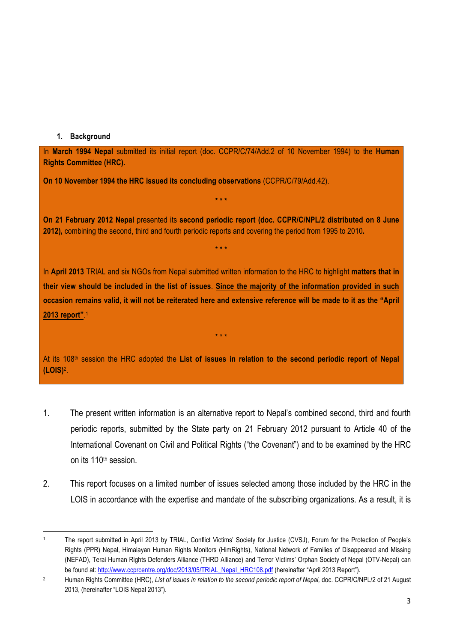## **1. Background**

 

In **March 1994 Nepal** submitted its initial report (doc. CCPR/C/74/Add.2 of 10 November 1994) to the **Human Rights Committee (HRC).**

**On 10 November 1994 the HRC issued its concluding observations** (CCPR/C/79/Add.42).

**On 21 February 2012 Nepal** presented its **second periodic report (doc. CCPR/C/NPL/2 distributed on 8 June 2012),** combining the second, third and fourth periodic reports and covering the period from 1995 to 2010**.**

\* \* \*

**\* \* \***

In **April 2013** TRIAL and six NGOs from Nepal submitted written information to the HRC to highlight **matters that in their view should be included in the list of issues**. **Since the majority of the information provided in such occasion remains valid, it will not be reiterated here and extensive reference will be made to it as the "April 2013 report"**. 1

At its 108th session the HRC adopted the **List of issues in relation to the second periodic report of Nepal (LOIS)**2.

\* \* \*

- 1. The present written information is an alternative report to Nepal's combined second, third and fourth periodic reports, submitted by the State party on 21 February 2012 pursuant to Article 40 of the International Covenant on Civil and Political Rights ("the Covenant") and to be examined by the HRC on its 110th session.
- 2. This report focuses on a limited number of issues selected among those included by the HRC in the LOIS in accordance with the expertise and mandate of the subscribing organizations. As a result, it is

<sup>1</sup> The report submitted in April 2013 by TRIAL, Conflict Victims' Society for Justice (CVSJ), Forum for the Protection of People's Rights (PPR) Nepal, Himalayan Human Rights Monitors (HimRights), National Network of Families of Disappeared and Missing (NEFAD), Terai Human Rights Defenders Alliance (THRD Alliance) and Terror Victims' Orphan Society of Nepal (OTV-Nepal) can be found at: http://www.ccprcentre.org/doc/2013/05/TRIAL\_Nepal\_HRC108.pdf (hereinafter "April 2013 Report").

<sup>2</sup> Human Rights Committee (HRC), *List of issues in relation to the second periodic report of Nepal,* doc. CCPR/C/NPL/2 of 21 August 2013, (hereinafter "LOIS Nepal 2013").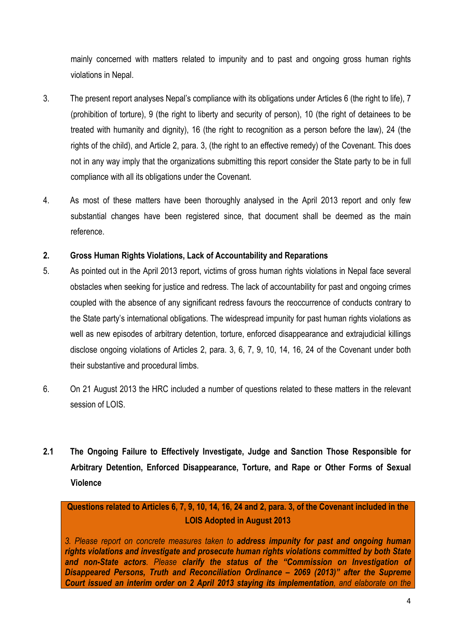mainly concerned with matters related to impunity and to past and ongoing gross human rights violations in Nepal.

- 3. The present report analyses Nepal's compliance with its obligations under Articles 6 (the right to life), 7 (prohibition of torture), 9 (the right to liberty and security of person), 10 (the right of detainees to be treated with humanity and dignity), 16 (the right to recognition as a person before the law), 24 (the rights of the child), and Article 2, para. 3, (the right to an effective remedy) of the Covenant. This does not in any way imply that the organizations submitting this report consider the State party to be in full compliance with all its obligations under the Covenant.
- 4. As most of these matters have been thoroughly analysed in the April 2013 report and only few substantial changes have been registered since, that document shall be deemed as the main reference.

## **2. Gross Human Rights Violations, Lack of Accountability and Reparations**

- 5. As pointed out in the April 2013 report, victims of gross human rights violations in Nepal face several obstacles when seeking for justice and redress. The lack of accountability for past and ongoing crimes coupled with the absence of any significant redress favours the reoccurrence of conducts contrary to the State party's international obligations. The widespread impunity for past human rights violations as well as new episodes of arbitrary detention, torture, enforced disappearance and extrajudicial killings disclose ongoing violations of Articles 2, para. 3, 6, 7, 9, 10, 14, 16, 24 of the Covenant under both their substantive and procedural limbs.
- 6. On 21 August 2013 the HRC included a number of questions related to these matters in the relevant session of LOIS.
- **2.1 The Ongoing Failure to Effectively Investigate, Judge and Sanction Those Responsible for Arbitrary Detention, Enforced Disappearance, Torture, and Rape or Other Forms of Sexual Violence**

**Questions related to Articles 6, 7, 9, 10, 14, 16, 24 and 2, para. 3, of the Covenant included in the LOIS Adopted in August 2013**

*3. Please report on concrete measures taken to address impunity for past and ongoing human rights violations and investigate and prosecute human rights violations committed by both State and non-State actors. Please clarify the status of the "Commission on Investigation of Disappeared Persons, Truth and Reconciliation Ordinance – 2069 (2013)" after the Supreme Court issued an interim order on 2 April 2013 staying its implementation, and elaborate on the*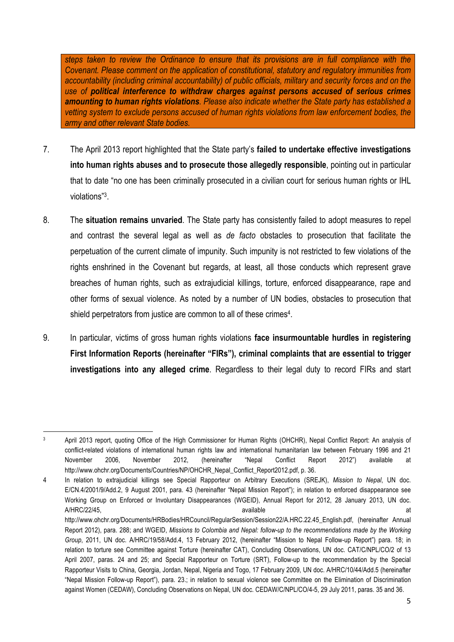*steps taken to review the Ordinance to ensure that its provisions are in full compliance with the Covenant. Please comment on the application of constitutional, statutory and regulatory immunities from accountability (including criminal accountability) of public officials, military and security forces and on the use of political interference to withdraw charges against persons accused of serious crimes amounting to human rights violations. Please also indicate whether the State party has established a vetting system to exclude persons accused of human rights violations from law enforcement bodies, the army and other relevant State bodies.*

- 7. The April 2013 report highlighted that the State party's **failed to undertake effective investigations into human rights abuses and to prosecute those allegedly responsible**, pointing out in particular that to date "no one has been criminally prosecuted in a civilian court for serious human rights or IHL violations"3.
- 8. The **situation remains unvaried**. The State party has consistently failed to adopt measures to repel and contrast the several legal as well as *de facto* obstacles to prosecution that facilitate the perpetuation of the current climate of impunity. Such impunity is not restricted to few violations of the rights enshrined in the Covenant but regards, at least, all those conducts which represent grave breaches of human rights, such as extrajudicial killings, torture, enforced disappearance, rape and other forms of sexual violence. As noted by a number of UN bodies, obstacles to prosecution that shield perpetrators from justice are common to all of these crimes<sup>4</sup>.
- 9. In particular, victims of gross human rights vi*o*lations **face insurmountable hurdles in registering First Information Reports (hereinafter "FIRs"), criminal complaints that are essential to trigger investigations into any alleged crime**. Regardless to their legal duty to record FIRs and start

 <sup>3</sup> April 2013 report, quoting Office of the High Commissioner for Human Rights (OHCHR), Nepal Conflict Report: An analysis of conflict-related violations of international human rights law and international humanitarian law between February 1996 and 21 November 2006, November 2012, (hereinafter "Nepal Conflict Report 2012") available at http://www.ohchr.org/Documents/Countries/NP/OHCHR\_Nepal\_Conflict\_Report2012.pdf, p. 36.

<sup>4</sup> In relation to extrajudicial killings see Special Rapporteur on Arbitrary Executions (SREJK), *Mission to Nepal*, UN doc. E/CN.4/2001/9/Add.2, 9 August 2001, para. 43 (hereinafter "Nepal Mission Report"); in relation to enforced disappearance see Working Group on Enforced or Involuntary Disappearances (WGEID), Annual Report for 2012, 28 January 2013, UN doc. A/HRC/22/45, available at a control available and a structure at a control and at a control at a control at a control at a control at a control at a control at a control at a control at a control at a control at a control

http://www.ohchr.org/Documents/HRBodies/HRCouncil/RegularSession/Session22/A.HRC.22.45\_English.pdf, (hereinafter Annual Report 2012), para. 288; and WGEID, *Missions to Colombia and Nepal: follow-up to the recommendations made by the Working Group*, 2011, UN doc. A/HRC/19/58/Add.4, 13 February 2012, (hereinafter "Mission to Nepal Follow-up Report") para. 18; in relation to torture see Committee against Torture (hereinafter CAT), Concluding Observations, UN doc. CAT/C/NPL/CO/2 of 13 April 2007, paras. 24 and 25; and Special Rapporteur on Torture (SRT), Follow-up to the recommendation by the Special Rapporteur Visits to China, Georgia, Jordan, Nepal, Nigeria and Togo, 17 February 2009, UN doc. A/HRC/10/44/Add.5 (hereinafter "Nepal Mission Follow-up Report"), para. 23.; in relation to sexual violence see Committee on the Elimination of Discrimination against Women (CEDAW), Concluding Observations on Nepal, UN doc. CEDAW/C/NPL/CO/4-5, 29 July 2011, paras. 35 and 36.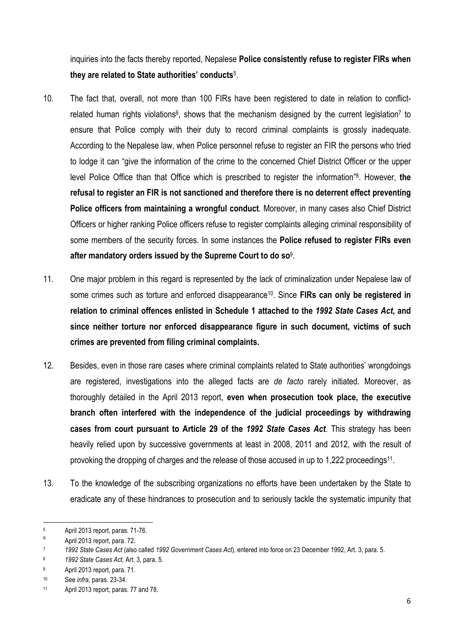inquiries into the facts thereby reported, Nepalese **Police consistently refuse to register FIRs when they are related to State authorities' conducts**5.

- 10. The fact that, overall, not more than 100 FIRs have been registered to date in relation to conflictrelated human rights violations<sup>6</sup>, shows that the mechanism designed by the current legislation<sup>7</sup> to ensure that Police comply with their duty to record criminal complaints is grossly inadequate. According to the Nepalese law, when Police personnel refuse to register an FIR the persons who tried to lodge it can "give the information of the crime to the concerned Chief District Officer or the upper level Police Office than that Office which is prescribed to register the information"8. However, **the refusal to register an FIR is not sanctioned and therefore there is no deterrent effect preventing Police officers from maintaining a wrongful conduct**. Moreover, in many cases also Chief District Officers or higher ranking Police officers refuse to register complaints alleging criminal responsibility of some members of the security forces. In some instances the **Police refused to register FIRs even after mandatory orders issued by the Supreme Court to do so**9.
- 11. One major problem in this regard is represented by the lack of criminalization under Nepalese law of some crimes such as torture and enforced disappearance10. Since **FIRs can only be registered in relation to criminal offences enlisted in Schedule 1 attached to the** *1992 State Cases Act***, and since neither torture nor enforced disappearance figure in such document, victims of such crimes are prevented from filing criminal complaints.**
- 12. Besides, even in those rare cases where criminal complaints related to State authorities' wrongdoings are registered, investigations into the alleged facts are *de facto* rarely initiated. Moreover, as thoroughly detailed in the April 2013 report, **even when prosecution took place, the executive branch often interfered with the independence of the judicial proceedings by withdrawing cases from court pursuant to Article 29 of the** *1992 State Cases Act*. This strategy has been heavily relied upon by successive governments at least in 2008, 2011 and 2012, with the result of provoking the dropping of charges and the release of those accused in up to 1,222 proceedings11.
- 13. To the knowledge of the subscribing organizations no efforts have been undertaken by the State to eradicate any of these hindrances to prosecution and to seriously tackle the systematic impunity that

  $\frac{5}{6}$  April 2013 report, paras. 71-76.

<sup>6</sup> April 2013 report, para. 72.

<sup>7</sup> *1992 State Cases Act* (also called *1992 Government Cases Act*)*,* entered into force on 23 December 1992, Art. 3, para. 5.

<sup>8</sup> *1992 State Cases Act,* Art. 3, para. 5.

<sup>9</sup> April 2013 report, para. 71.

<sup>10</sup> See *infra,* paras. 23-34.

<sup>11</sup> April 2013 report, paras. 77 and 78.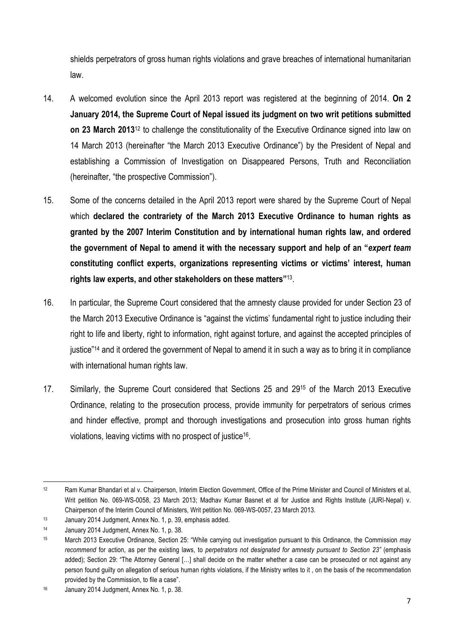shields perpetrators of gross human rights violations and grave breaches of international humanitarian law.

- 14. A welcomed evolution since the April 2013 report was registered at the beginning of 2014. **On 2 January 2014, the Supreme Court of Nepal issued its judgment on two writ petitions submitted on 23 March 2013**<sup>12</sup> to challenge the constitutionality of the Executive Ordinance signed into law on 14 March 2013 (hereinafter "the March 2013 Executive Ordinance") by the President of Nepal and establishing a Commission of Investigation on Disappeared Persons, Truth and Reconciliation (hereinafter, "the prospective Commission").
- 15. Some of the concerns detailed in the April 2013 report were shared by the Supreme Court of Nepal which **declared the contrariety of the March 2013 Executive Ordinance to human rights as granted by the 2007 Interim Constitution and by international human rights law, and ordered the government of Nepal to amend it with the necessary support and help of an "***expert team* **constituting conflict experts, organizations representing victims or victims' interest, human rights law experts, and other stakeholders on these matters"**13.
- 16. In particular, the Supreme Court considered that the amnesty clause provided for under Section 23 of the March 2013 Executive Ordinance is "against the victims' fundamental right to justice including their right to life and liberty, right to information, right against torture, and against the accepted principles of justice"14 and it ordered the government of Nepal to amend it in such a way as to bring it in compliance with international human rights law.
- 17. Similarly, the Supreme Court considered that Sections 25 and 2915 of the March 2013 Executive Ordinance, relating to the prosecution process, provide immunity for perpetrators of serious crimes and hinder effective, prompt and thorough investigations and prosecution into gross human rights violations, leaving victims with no prospect of justice16.

<sup>&</sup>lt;u> 1989 - Jan Samuel Barbara, margaret e</u> <sup>12</sup> Ram Kumar Bhandari et al v. Chairperson, Interim Election Government, Office of the Prime Minister and Council of Ministers et al, Writ petition No. 069-WS-0058, 23 March 2013; Madhav Kumar Basnet et al for Justice and Rights Institute (JURI-Nepal) v. Chairperson of the Interim Council of Ministers, Writ petition No. 069-WS-0057, 23 March 2013.

<sup>13</sup> January 2014 Judgment, Annex No. 1, p. 39, emphasis added.

<sup>14</sup> January 2014 Judgment, Annex No. 1, p. 38.

<sup>15</sup> March 2013 Executive Ordinance, Section 25: "While carrying out investigation pursuant to this Ordinance, the Commission *may*  recommend for action, as per the existing laws, to *perpetrators not designated for amnesty pursuant to Section 23"* (emphasis added); Section 29: "The Attorney General […] shall decide on the matter whether a case can be prosecuted or not against any person found quilty on allegation of serious human rights violations, if the Ministry writes to it, on the basis of the recommendation provided by the Commission, to file a case".

<sup>16</sup> January 2014 Judgment, Annex No. 1, p. 38.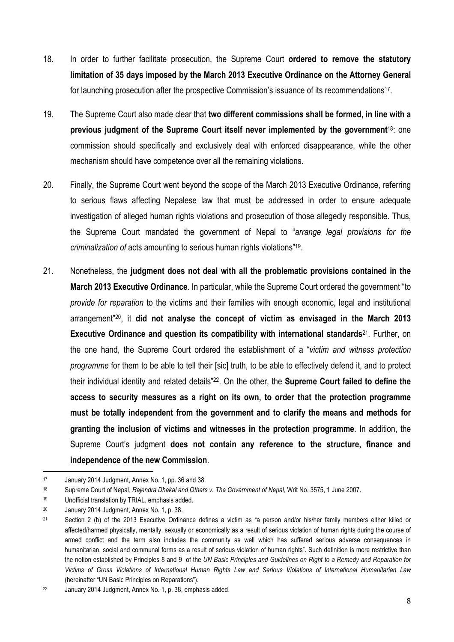- 18. In order to further facilitate prosecution, the Supreme Court **ordered to remove the statutory limitation of 35 days imposed by the March 2013 Executive Ordinance on the Attorney General** for launching prosecution after the prospective Commission's issuance of its recommendations<sup>17</sup>.
- 19. The Supreme Court also made clear that **two different commissions shall be formed, in line with a previous judgment of the Supreme Court itself never implemented by the government**18: one commission should specifically and exclusively deal with enforced disappearance, while the other mechanism should have competence over all the remaining violations.
- 20. Finally, the Supreme Court went beyond the scope of the March 2013 Executive Ordinance, referring to serious flaws affecting Nepalese law that must be addressed in order to ensure adequate investigation of alleged human rights violations and prosecution of those allegedly responsible. Thus, the Supreme Court mandated the government of Nepal to "*arrange legal provisions for the criminalization of* acts amounting to serious human rights violations"19.
- 21. Nonetheless, the **judgment does not deal with all the problematic provisions contained in the March 2013 Executive Ordinance**. In particular, while the Supreme Court ordered the government "to *provide for reparation* to the victims and their families with enough economic, legal and institutional arrangement"20, it **did not analyse the concept of victim as envisaged in the March 2013 Executive Ordinance and question its compatibility with international standards**21. Further, on the one hand, the Supreme Court ordered the establishment of a "*victim and witness protection programme* for them to be able to tell their [sic] truth, to be able to effectively defend it, and to protect their individual identity and related details"22. On the other, the **Supreme Court failed to define the access to security measures as a right on its own, to order that the protection programme must be totally independent from the government and to clarify the means and methods for granting the inclusion of victims and witnesses in the protection programme**. In addition, the Supreme Court's judgment **does not contain any reference to the structure, finance and independence of the new Commission**.

<u> 1989 - Jan Samuel Barbara, margaret e</u>

<sup>17</sup> January 2014 Judgment, Annex No. 1, pp. 36 and 38.

<sup>18</sup> Supreme Court of Nepal, *Rajendra Dhakal and Others v. The Government of Nepal*, Writ No. 3575, 1 June 2007.

<sup>19</sup> Unofficial translation by TRIAL, emphasis added.

<sup>20</sup> January 2014 Judgment, Annex No. 1, p. 38.

<sup>&</sup>lt;sup>21</sup> Section 2 (h) of the 2013 Executive Ordinance defines a victim as "a person and/or his/her family members either killed or affected/harmed physically, mentally, sexually or economically as a result of serious violation of human rights during the course of armed conflict and the term also includes the community as well which has suffered serious adverse consequences in humanitarian, social and communal forms as a result of serious violation of human rights". Such definition is more restrictive than the notion established by Principles 8 and 9 of the *UN Basic Principles and Guidelines on Right to a Remedy and Reparation for Victims of Gross Violations of International Human Rights Law and Serious Violations of International Humanitarian Law* (hereinafter "UN Basic Principles on Reparations").

<sup>22</sup> January 2014 Judgment, Annex No. 1, p. 38, emphasis added.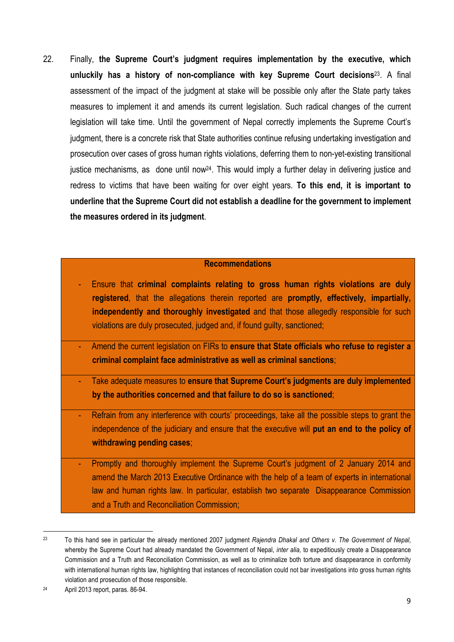22. Finally, **the Supreme Court's judgment requires implementation by the executive, which unluckily has a history of non-compliance with key Supreme Court decisions**23. A final assessment of the impact of the judgment at stake will be possible only after the State party takes measures to implement it and amends its current legislation. Such radical changes of the current legislation will take time. Until the government of Nepal correctly implements the Supreme Court's judgment, there is a concrete risk that State authorities continue refusing undertaking investigation and prosecution over cases of gross human rights violations, deferring them to non-yet-existing transitional justice mechanisms, as done until now<sup>24</sup>. This would imply a further delay in delivering justice and redress to victims that have been waiting for over eight years. **To this end, it is important to underline that the Supreme Court did not establish a deadline for the government to implement the measures ordered in its judgment**.

## **Recommendations**

- Ensure that **criminal complaints relating to gross human rights violations are duly registered**, that the allegations therein reported are **promptly, effectively, impartially, independently and thoroughly investigated** and that those allegedly responsible for such violations are duly prosecuted, judged and, if found guilty, sanctioned;
- Amend the current legislation on FIRs to **ensure that State officials who refuse to register a criminal complaint face administrative as well as criminal sanctions**;
- Take adequate measures to **ensure that Supreme Court's judgments are duly implemented by the authorities concerned and that failure to do so is sanctioned**;
- Refrain from any interference with courts' proceedings, take all the possible steps to grant the independence of the judiciary and ensure that the executive will **put an end to the policy of withdrawing pending cases**;
- Promptly and thoroughly implement the Supreme Court's judgment of 2 January 2014 and amend the March 2013 Executive Ordinance with the help of a team of experts in international law and human rights law. In particular, establish two separate Disappearance Commission and a Truth and Reconciliation Commission;

 

<sup>23</sup> To this hand see in particular the already mentioned 2007 judgment *Rajendra Dhakal and Others v. The Government of Nepal*, whereby the Supreme Court had already mandated the Government of Nepal, *inter alia,* to expeditiously create a Disappearance Commission and a Truth and Reconciliation Commission, as well as to criminalize both torture and disappearance in conformity with international human rights law, highlighting that instances of reconciliation could not bar investigations into gross human rights violation and prosecution of those responsible.

<sup>24</sup> April 2013 report, paras. 86-94.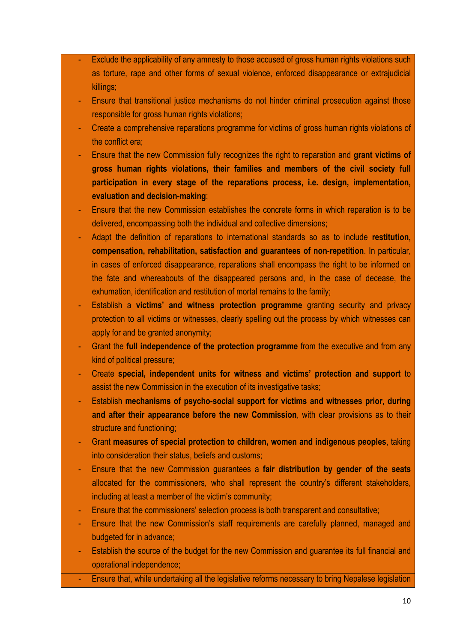- Exclude the applicability of any amnesty to those accused of gross human rights violations such as torture, rape and other forms of sexual violence, enforced disappearance or extrajudicial killings;
- Ensure that transitional justice mechanisms do not hinder criminal prosecution against those responsible for gross human rights violations;
- Create a comprehensive reparations programme for victims of gross human rights violations of the conflict era;
- Ensure that the new Commission fully recognizes the right to reparation and **grant victims of gross human rights violations, their families and members of the civil society full participation in every stage of the reparations process, i.e. design, implementation, evaluation and decision-making**;
- Ensure that the new Commission establishes the concrete forms in which reparation is to be delivered, encompassing both the individual and collective dimensions;
- Adapt the definition of reparations to international standards so as to include **restitution, compensation, rehabilitation, satisfaction and guarantees of non-repetition**. In particular, in cases of enforced disappearance, reparations shall encompass the right to be informed on the fate and whereabouts of the disappeared persons and, in the case of decease, the exhumation, identification and restitution of mortal remains to the family;
- Establish a **victims' and witness protection programme** granting security and privacy protection to all victims or witnesses, clearly spelling out the process by which witnesses can apply for and be granted anonymity;
- Grant the **full independence of the protection programme** from the executive and from any kind of political pressure;
- Create **special, independent units for witness and victims' protection and support** to assist the new Commission in the execution of its investigative tasks;
- Establish **mechanisms of psycho-social support for victims and witnesses prior, during and after their appearance before the new Commission**, with clear provisions as to their structure and functioning;
- Grant **measures of special protection to children, women and indigenous peoples**, taking into consideration their status, beliefs and customs;
- Ensure that the new Commission guarantees a **fair distribution by gender of the seats**  allocated for the commissioners, who shall represent the country's different stakeholders, including at least a member of the victim's community;
- Ensure that the commissioners' selection process is both transparent and consultative;
- Ensure that the new Commission's staff requirements are carefully planned, managed and budgeted for in advance;
- Establish the source of the budget for the new Commission and guarantee its full financial and operational independence;
- Ensure that, while undertaking all the legislative reforms necessary to bring Nepalese legislation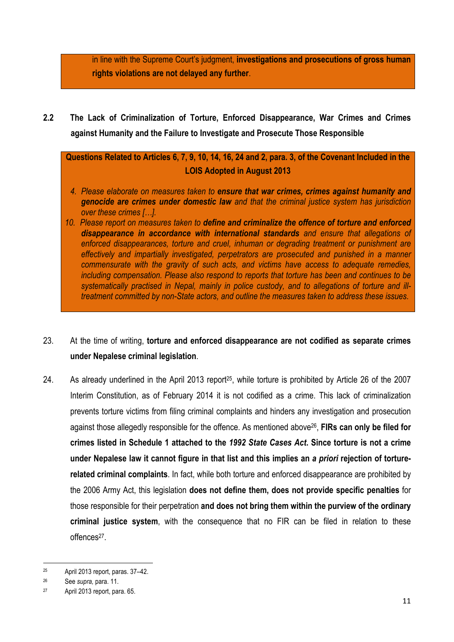in line with the Supreme Court's judgment, **investigations and prosecutions of gross human rights violations are not delayed any further**.

**2.2 The Lack of Criminalization of Torture, Enforced Disappearance, War Crimes and Crimes against Humanity and the Failure to Investigate and Prosecute Those Responsible**

**Questions Related to Articles 6, 7, 9, 10, 14, 16, 24 and 2, para. 3, of the Covenant Included in the LOIS Adopted in August 2013**

- *4. Please elaborate on measures taken to ensure that war crimes, crimes against humanity and genocide are crimes under domestic law and that the criminal justice system has jurisdiction over these crimes […].*
- *10. Please report on measures taken to define and criminalize the offence of torture and enforced disappearance in accordance with international standards and ensure that allegations of enforced disappearances, torture and cruel, inhuman or degrading treatment or punishment are effectively and impartially investigated, perpetrators are prosecuted and punished in a manner commensurate with the gravity of such acts, and victims have access to adequate remedies, including compensation. Please also respond to reports that torture has been and continues to be systematically practised in Nepal, mainly in police custody, and to allegations of torture and illtreatment committed by non-State actors, and outline the measures taken to address these issues.*
- 23. At the time of writing, **torture and enforced disappearance are not codified as separate crimes under Nepalese criminal legislation**.
- 24. As already underlined in the April 2013 report<sup>25</sup>, while torture is prohibited by Article 26 of the 2007 Interim Constitution, as of February 2014 it is not codified as a crime. This lack of criminalization prevents torture victims from filing criminal complaints and hinders any investigation and prosecution against those allegedly responsible for the offence. As mentioned above26, **FIRs can only be filed for crimes listed in Schedule 1 attached to the** *1992 State Cases Act***. Since torture is not a crime under Nepalese law it cannot figure in that list and this implies an** *a priori* **rejection of torturerelated criminal complaints**. In fact, while both torture and enforced disappearance are prohibited by the 2006 Army Act, this legislation **does not define them, does not provide specific penalties** for those responsible for their perpetration **and does not bring them within the purview of the ordinary criminal justice system**, with the consequence that no FIR can be filed in relation to these offences<sup>27</sup>.

<sup>&</sup>lt;u> 1989 - Jan Samuel Barbara, margaret e</u> <sup>25</sup> April 2013 report, paras. 37–42.

<sup>26</sup> See *supra,* para. 11.

<sup>27</sup> April 2013 report, para. 65.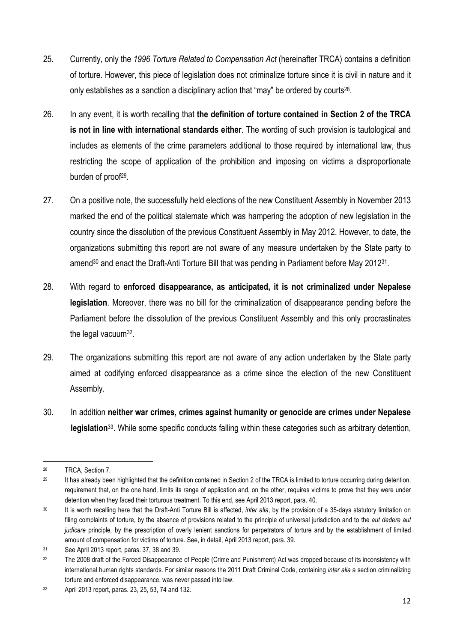- 25. Currently, only the *1996 Torture Related to Compensation Act* (hereinafter TRCA) contains a definition of torture. However, this piece of legislation does not criminalize torture since it is civil in nature and it only establishes as a sanction a disciplinary action that "may" be ordered by courts<sup>28</sup>.
- 26. In any event, it is worth recalling that **the definition of torture contained in Section 2 of the TRCA is not in line with international standards either**. The wording of such provision is tautological and includes as elements of the crime parameters additional to those required by international law, thus restricting the scope of application of the prohibition and imposing on victims a disproportionate burden of proof<sup>29</sup>.
- 27. On a positive note, the successfully held elections of the new Constituent Assembly in November 2013 marked the end of the political stalemate which was hampering the adoption of new legislation in the country since the dissolution of the previous Constituent Assembly in May 2012. However, to date, the organizations submitting this report are not aware of any measure undertaken by the State party to amend<sup>30</sup> and enact the Draft-Anti Torture Bill that was pending in Parliament before May 2012<sup>31</sup>.
- 28. With regard to **enforced disappearance, as anticipated, it is not criminalized under Nepalese legislation**. Moreover, there was no bill for the criminalization of disappearance pending before the Parliament before the dissolution of the previous Constituent Assembly and this only procrastinates the legal vacuum32.
- 29. The organizations submitting this report are not aware of any action undertaken by the State party aimed at codifying enforced disappearance as a crime since the election of the new Constituent Assembly.
- 30. In addition **neither war crimes, crimes against humanity or genocide are crimes under Nepalese legislation**33. While some specific conducts falling within these categories such as arbitrary detention,

 <sup>28</sup> TRCA, Section 7.

<sup>&</sup>lt;sup>29</sup> It has already been highlighted that the definition contained in Section 2 of the TRCA is limited to torture occurring during detention, requirement that, on the one hand, limits its range of application and, on the other, requires victims to prove that they were under detention when they faced their torturous treatment. To this end, see April 2013 report, para. 40.

<sup>30</sup> It is worth recalling here that the Draft-Anti Torture Bill is affected, *inter alia*, by the provision of a 35-days statutory limitation on filing complaints of torture, by the absence of provisions related to the principle of universal jurisdiction and to the *aut dedere aut judicare* principle*,* by the prescription of overly lenient sanctions for perpetrators of torture and by the establishment of limited amount of compensation for victims of torture. See, in detail, April 2013 report, para. 39.

<sup>31</sup> See April 2013 report, paras. 37, 38 and 39.

<sup>&</sup>lt;sup>32</sup> The 2008 draft of the Forced Disappearance of People (Crime and Punishment) Act was dropped because of its inconsistency with international human rights standards. For similar reasons the 2011 Draft Criminal Code, containing *inter alia* a section criminalizing torture and enforced disappearance, was never passed into law.

<sup>33</sup> April 2013 report, paras. 23, 25, 53, 74 and 132.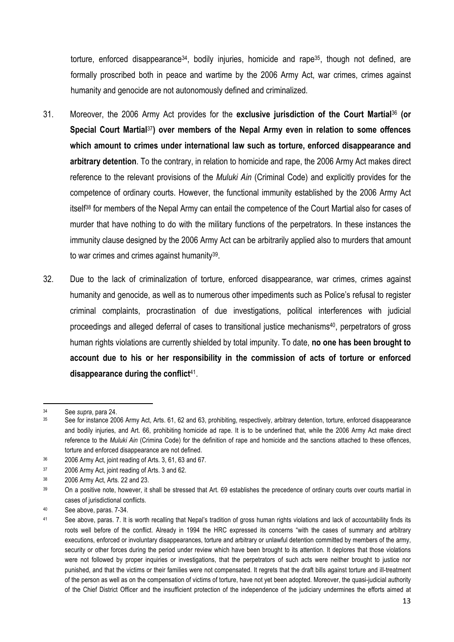torture, enforced disappearance<sup>34</sup>, bodily injuries, homicide and rape<sup>35</sup>, though not defined, are formally proscribed both in peace and wartime by the 2006 Army Act, war crimes, crimes against humanity and genocide are not autonomously defined and criminalized.

- 31. Moreover, the 2006 Army Act provides for the **exclusive jurisdiction of the Court Martial**<sup>36</sup> **(or Special Court Martial**37**) over members of the Nepal Army even in relation to some offences which amount to crimes under international law such as torture, enforced disappearance and arbitrary detention**. To the contrary, in relation to homicide and rape, the 2006 Army Act makes direct reference to the relevant provisions of the *Muluki Ain* (Criminal Code) and explicitly provides for the competence of ordinary courts. However, the functional immunity established by the 2006 Army Act itself38 for members of the Nepal Army can entail the competence of the Court Martial also for cases of murder that have nothing to do with the military functions of the perpetrators. In these instances the immunity clause designed by the 2006 Army Act can be arbitrarily applied also to murders that amount to war crimes and crimes against humanity39.
- 32. Due to the lack of criminalization of torture, enforced disappearance, war crimes, crimes against humanity and genocide, as well as to numerous other impediments such as Police's refusal to register criminal complaints, procrastination of due investigations, political interferences with judicial proceedings and alleged deferral of cases to transitional justice mechanisms40, perpetrators of gross human rights violations are currently shielded by total impunity. To date, **no one has been brought to account due to his or her responsibility in the commission of acts of torture or enforced disappearance during the conflict**41.

<u> 1989 - Jan Samuel Barbara, margaret e</u>

<sup>34</sup> See *supra*, para 24.

See for instance 2006 Army Act, Arts. 61, 62 and 63, prohibiting, respectively, arbitrary detention, torture, enforced disappearance and bodily injuries, and Art. 66, prohibiting homicide ad rape. It is to be underlined that, while the 2006 Army Act make direct reference to the *Muluki Ain* (Crimina Code) for the definition of rape and homicide and the sanctions attached to these offences, torture and enforced disappearance are not defined.

<sup>36</sup> 2006 Army Act, joint reading of Arts. 3, 61, 63 and 67.

<sup>37</sup> 2006 Army Act, joint reading of Arts. 3 and 62.

<sup>38</sup> 2006 Army Act, Arts. 22 and 23.

<sup>39</sup> On a positive note, however, it shall be stressed that Art. 69 establishes the precedence of ordinary courts over courts martial in cases of jurisdictional conflicts.

<sup>40</sup> See above, paras. 7-34.

<sup>41</sup> See above, paras. 7. It is worth recalling that Nepal's tradition of gross human rights violations and lack of accountability finds its roots well before of the conflict. Already in 1994 the HRC expressed its concerns "with the cases of summary and arbitrary executions, enforced or involuntary disappearances, torture and arbitrary or unlawful detention committed by members of the army, security or other forces during the period under review which have been brought to its attention. It deplores that those violations were not followed by proper inquiries or investigations, that the perpetrators of such acts were neither brought to justice nor punished, and that the victims or their families were not compensated. It regrets that the draft bills against torture and ill-treatment of the person as well as on the compensation of victims of torture, have not yet been adopted. Moreover, the quasi-judicial authority of the Chief District Officer and the insufficient protection of the independence of the judiciary undermines the efforts aimed at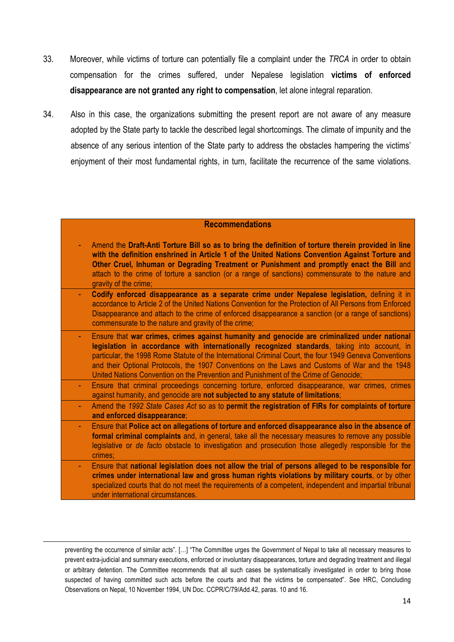- 33. Moreover, while victims of torture can potentially file a complaint under the *TRCA* in order to obtain compensation for the crimes suffered, under Nepalese legislation **victims of enforced disappearance are not granted any right to compensation**, let alone integral reparation.
- 34. Also in this case, the organizations submitting the present report are not aware of any measure adopted by the State party to tackle the described legal shortcomings. The climate of impunity and the absence of any serious intention of the State party to address the obstacles hampering the victims' enjoyment of their most fundamental rights, in turn, facilitate the recurrence of the same violations.

### **Recommendations**

- Amend the **Draft-Anti Torture Bill so as to bring the definition of torture therein provided in line with the definition enshrined in Article 1 of the United Nations Convention Against Torture and Other Cruel, Inhuman or Degrading Treatment or Punishment and promptly enact the Bill** and attach to the crime of torture a sanction (or a range of sanctions) commensurate to the nature and gravity of the crime;
- **Codify enforced disappearance as a separate crime under Nepalese legislation,** defining it in accordance to Article 2 of the United Nations Convention for the Protection of All Persons from Enforced Disappearance and attach to the crime of enforced disappearance a sanction (or a range of sanctions) commensurate to the nature and gravity of the crime;
- Ensure that **war crimes, crimes against humanity and genocide are criminalized under national legislation in accordance with internationally recognized standards**, taking into account, in particular, the 1998 Rome Statute of the International Criminal Court, the four 1949 Geneva Conventions and their Optional Protocols, the 1907 Conventions on the Laws and Customs of War and the 1948 United Nations Convention on the Prevention and Punishment of the Crime of Genocide;
- Ensure that criminal proceedings concerning torture, enforced disappearance, war crimes, crimes against humanity, and genocide are **not subjected to any statute of limitations**;
	- Amend the *1992 State Cases Act* so as to **permit the registration of FIRs for complaints of torture and enforced disappearance**;
- Ensure that **Police act on allegations of torture and enforced disappearance also in the absence of formal criminal complaints** and, in general, take all the necessary measures to remove any possible legislative or *de facto* obstacle to investigation and prosecution those allegedly responsible for the crimes;
- Ensure that **national legislation does not allow the trial of persons alleged to be responsible for crimes under international law and gross human rights violations by military courts**, or by other specialized courts that do not meet the requirements of a competent, independent and impartial tribunal under international circumstances.

preventing the occurrence of similar acts". […] "The Committee urges the Government of Nepal to take all necessary measures to prevent extra-judicial and summary executions, enforced or involuntary disappearances, torture and degrading treatment and illegal or arbitrary detention. The Committee recommends that all such cases be systematically investigated in order to bring those suspected of having committed such acts before the courts and that the victims be compensated". See HRC, Concluding Observations on Nepal, 10 November 1994, UN Doc. CCPR/C/79/Add.42, paras. 10 and 16.

<u> 1989 - Andrea Santa Andrea Andrea Andrea Andrea Andrea Andrea Andrea Andrea Andrea Andrea Andrea Andrea Andr</u>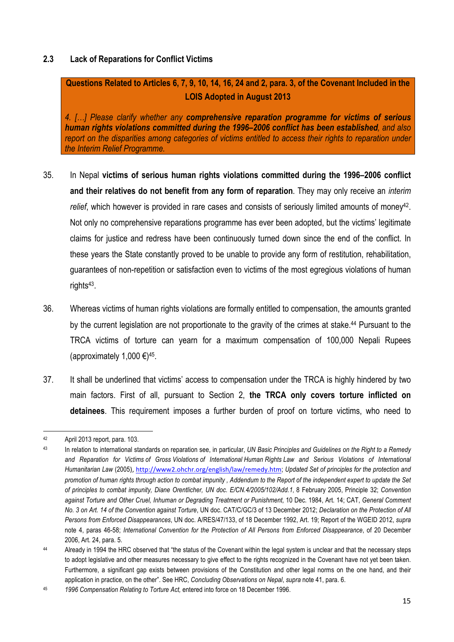## **2.3 Lack of Reparations for Conflict Victims**

**Questions Related to Articles 6, 7, 9, 10, 14, 16, 24 and 2, para. 3, of the Covenant Included in the LOIS Adopted in August 2013**

*4. […] Please clarify whether any comprehensive reparation programme for victims of serious human rights violations committed during the 1996–2006 conflict has been established, and also report on the disparities among categories of victims entitled to access their rights to reparation under the Interim Relief Programme.*

- 35. In Nepal **victims of serious human rights violations committed during the 1996–2006 conflict and their relatives do not benefit from any form of reparation**. They may only receive an *interim*  relief, which however is provided in rare cases and consists of seriously limited amounts of money<sup>42</sup>. Not only no comprehensive reparations programme has ever been adopted, but the victims' legitimate claims for justice and redress have been continuously turned down since the end of the conflict. In these years the State constantly proved to be unable to provide any form of restitution, rehabilitation, guarantees of non-repetition or satisfaction even to victims of the most egregious violations of human rights<sup>43</sup>.
- 36. Whereas victims of human rights violations are formally entitled to compensation, the amounts granted by the current legislation are not proportionate to the gravity of the crimes at stake. <sup>44</sup> Pursuant to the TRCA victims of torture can yearn for a maximum compensation of 100,000 Nepali Rupees (approximately 1,000  $\epsilon$ )<sup>45</sup>.
- 37. It shall be underlined that victims' access to compensation under the TRCA is highly hindered by two main factors. First of all, pursuant to Section 2, **the TRCA only covers torture inflicted on detainees**. This requirement imposes a further burden of proof on torture victims, who need to

<sup>&</sup>lt;u> 1989 - Jan Samuel Barbara, margaret e</u> <sup>42</sup> April 2013 report, para. 103.

<sup>43</sup> In relation to international standards on reparation see, in particular, *UN Basic Principles and Guidelines on the Right to a Remedy and Reparation for Victims of Gross Violations of International Human Rights Law and Serious Violations of International Humanitarian Law* (2005), http://www2.ohchr.org/english/law/remedy.htm; Updated Set of principles for the protection and *promotion of human rights through action to combat impunity , Addendum to the Report of the independent expert to update the Set of principles to combat impunity, Diane Orentlicher, UN doc. E/CN.4/2005/102/Add.1*, 8 February 2005, Principle 32; *Convention against Torture and Other Cruel, Inhuman or Degrading Treatment or Punishment,* 10 Dec. 1984, Art. 14; CAT, *General Comment No. 3 on Art. 14 of the Convention against Torture*, UN doc. CAT/C/GC/3 of 13 December 2012; *Declaration on the Protection of All Persons from Enforced Disappearances*, UN doc. A/RES/47/133, of 18 December 1992, Art. 19; Report of the WGEID 2012, *supra*  note 4, paras 46-58; *International Convention for the Protection of All Persons from Enforced Disappearance*, of 20 December 2006, Art. 24, para. 5.

<sup>&</sup>lt;sup>44</sup> Already in 1994 the HRC observed that "the status of the Covenant within the legal system is unclear and that the necessary steps to adopt legislative and other measures necessary to give effect to the rights recognized in the Covenant have not yet been taken. Furthermore, a significant gap exists between provisions of the Constitution and other legal norms on the one hand, and their application in practice, on the other". See HRC, *Concluding Observations on Nepal*, *supra* note 41, para. 6.

<sup>45</sup> *1996 Compensation Relating to Torture Act,* entered into force on 18 December 1996.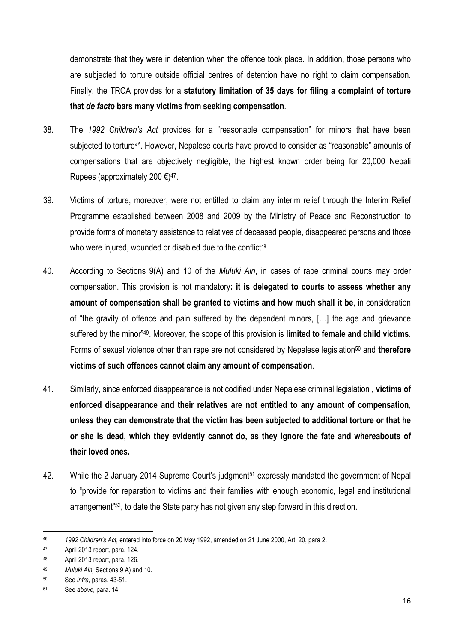demonstrate that they were in detention when the offence took place. In addition, those persons who are subjected to torture outside official centres of detention have no right to claim compensation. Finally, the TRCA provides for a **statutory limitation of 35 days for filing a complaint of torture that** *de facto* **bars many victims from seeking compensation**.

- 38. The *1992 Children's Act* provides for a "reasonable compensation" for minors that have been subjected to torture*46*. However, Nepalese courts have proved to consider as "reasonable" amounts of compensations that are objectively negligible, the highest known order being for 20,000 Nepali Rupees (approximately 200  $\epsilon$ )<sup>47</sup>.
- 39. Victims of torture, moreover, were not entitled to claim any interim relief through the Interim Relief Programme established between 2008 and 2009 by the Ministry of Peace and Reconstruction to provide forms of monetary assistance to relatives of deceased people, disappeared persons and those who were injured, wounded or disabled due to the conflict<sup>48</sup>.
- 40. According to Sections 9(A) and 10 of the *Muluki Ain*, in cases of rape criminal courts may order compensation. This provision is not mandatory**: it is delegated to courts to assess whether any amount of compensation shall be granted to victims and how much shall it be**, in consideration of "the gravity of offence and pain suffered by the dependent minors, […] the age and grievance suffered by the minor"49. Moreover, the scope of this provision is **limited to female and child victims**. Forms of sexual violence other than rape are not considered by Nepalese legislation50 and **therefore victims of such offences cannot claim any amount of compensation**.
- 41. Similarly, since enforced disappearance is not codified under Nepalese criminal legislation , **victims of enforced disappearance and their relatives are not entitled to any amount of compensation**, **unless they can demonstrate that the victim has been subjected to additional torture or that he or she is dead, which they evidently cannot do, as they ignore the fate and whereabouts of their loved ones.**
- 42. While the 2 January 2014 Supreme Court's judgment<sup>51</sup> expressly mandated the government of Nepal to "provide for reparation to victims and their families with enough economic, legal and institutional arrangement"52, to date the State party has not given any step forward in this direction.

 

<sup>46</sup> *1992 Children's Act,* entered into force on 20 May 1992, amended on 21 June 2000, Art. 20, para 2.

<sup>47</sup> April 2013 report, para. 124.

<sup>48</sup> April 2013 report, para. 126.

<sup>49</sup> *Muluki Ain,* Sections 9 A) and 10.

<sup>50</sup> See *infra,* paras. 43-51.

<sup>51</sup> See *above,* para. 14.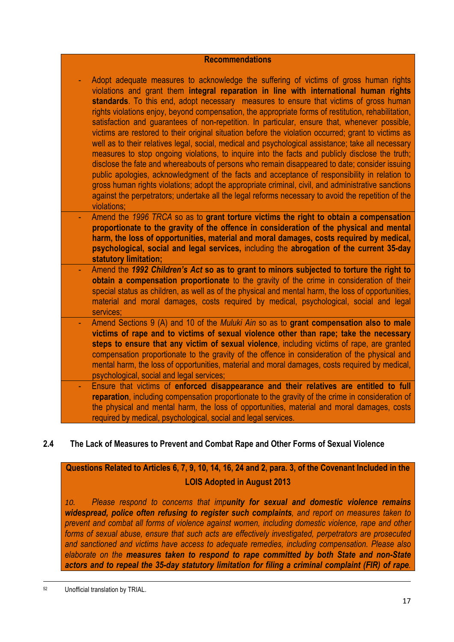## **Recommendations**

- Adopt adequate measures to acknowledge the suffering of victims of gross human rights violations and grant them **integral reparation in line with international human rights standards**. To this end, adopt necessary measures to ensure that victims of gross human rights violations enjoy, beyond compensation, the appropriate forms of restitution, rehabilitation, satisfaction and guarantees of non-repetition. In particular, ensure that, whenever possible, victims are restored to their original situation before the violation occurred; grant to victims as well as to their relatives legal, social, medical and psychological assistance; take all necessary measures to stop ongoing violations, to inquire into the facts and publicly disclose the truth; disclose the fate and whereabouts of persons who remain disappeared to date; consider issuing public apologies, acknowledgment of the facts and acceptance of responsibility in relation to gross human rights violations; adopt the appropriate criminal, civil, and administrative sanctions against the perpetrators; undertake all the legal reforms necessary to avoid the repetition of the violations;
- Amend the *1996 TRCA* so as to **grant torture victims the right to obtain a compensation proportionate to the gravity of the offence in consideration of the physical and mental harm, the loss of opportunities, material and moral damages, costs required by medical, psychological, social and legal services,** including the **abrogation of the current 35-day statutory limitation;**
- Amend the *1992 Children's Act* **so as to grant to minors subjected to torture the right to obtain a compensation proportionate** to the gravity of the crime in consideration of their special status as children, as well as of the physical and mental harm, the loss of opportunities, material and moral damages, costs required by medical, psychological, social and legal services;
- Amend Sections 9 (A) and 10 of the *Muluki Ain* so as to **grant compensation also to male victims of rape and to victims of sexual violence other than rape; take the necessary steps to ensure that any victim of sexual violence**, including victims of rape, are granted compensation proportionate to the gravity of the offence in consideration of the physical and mental harm, the loss of opportunities, material and moral damages, costs required by medical, psychological, social and legal services;
- Ensure that victims of **enforced disappearance and their relatives are entitled to full reparation**, including compensation proportionate to the gravity of the crime in consideration of the physical and mental harm, the loss of opportunities, material and moral damages, costs required by medical, psychological, social and legal services.

## **2.4 The Lack of Measures to Prevent and Combat Rape and Other Forms of Sexual Violence**

## **Questions Related to Articles 6, 7, 9, 10, 14, 16, 24 and 2, para. 3, of the Covenant Included in the LOIS Adopted in August 2013**

*10. Please respond to concerns that impunity for sexual and domestic violence remains widespread, police often refusing to register such complaints, and report on measures taken to prevent and combat all forms of violence against women, including domestic violence, rape and other forms of sexual abuse, ensure that such acts are effectively investigated, perpetrators are prosecuted and sanctioned and victims have access to adequate remedies, including compensation. Please also elaborate on the measures taken to respond to rape committed by both State and non-State actors and to repeal the 35-day statutory limitation for filing a criminal complaint (FIR) of rape.* 

<u> 1989 - Andrea Santa Andrea Andrea Andrea Andrea Andrea Andrea Andrea Andrea Andrea Andrea Andrea Andrea Andr</u> <sup>52</sup> Unofficial translation by TRIAL.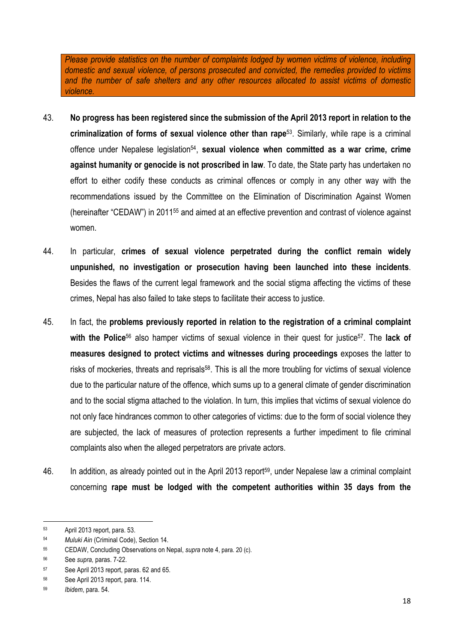*Please provide statistics on the number of complaints lodged by women victims of violence, including domestic and sexual violence, of persons prosecuted and convicted, the remedies provided to victims and the number of safe shelters and any other resources allocated to assist victims of domestic violence.*

- 43. **No progress has been registered since the submission of the April 2013 report in relation to the criminalization of forms of sexual violence other than rape**53. Similarly, while rape is a criminal offence under Nepalese legislation<sup>54</sup>, **sexual violence when committed as a war crime, crime against humanity or genocide is not proscribed in law**. To date, the State party has undertaken no effort to either codify these conducts as criminal offences or comply in any other way with the recommendations issued by the Committee on the Elimination of Discrimination Against Women (hereinafter "CEDAW") in 201155 and aimed at an effective prevention and contrast of violence against women.
- 44. In particular, **crimes of sexual violence perpetrated during the conflict remain widely unpunished, no investigation or prosecution having been launched into these incidents**. Besides the flaws of the current legal framework and the social stigma affecting the victims of these crimes, Nepal has also failed to take steps to facilitate their access to justice.
- 45. In fact, the **problems previously reported in relation to the registration of a criminal complaint**  with the Police<sup>56</sup> also hamper victims of sexual violence in their quest for justice<sup>57</sup>. The lack of **measures designed to protect victims and witnesses during proceedings** exposes the latter to risks of mockeries, threats and reprisals<sup>58</sup>. This is all the more troubling for victims of sexual violence due to the particular nature of the offence, which sums up to a general climate of gender discrimination and to the social stigma attached to the violation. In turn, this implies that victims of sexual violence do not only face hindrances common to other categories of victims: due to the form of social violence they are subjected, the lack of measures of protection represents a further impediment to file criminal complaints also when the alleged perpetrators are private actors.
- 46. In addition, as already pointed out in the April 2013 report<sup>59</sup>, under Nepalese law a criminal complaint concerning **rape must be lodged with the competent authorities within 35 days from the**

<u> 1989 - Jan Samuel Barbara, margaret e</u>

<sup>53</sup> April 2013 report, para. 53.

<sup>54</sup> *Muluki Ain* (Criminal Code), Section 14.

<sup>55</sup> CEDAW, Concluding Observations on Nepal, *supra* note 4, para. 20 (c).

<sup>56</sup> See *supra,* paras. 7-22.

<sup>57</sup> See April 2013 report, paras. 62 and 65.

<sup>58</sup> See April 2013 report, para. 114.

<sup>59</sup> *Ibidem*, para. 54.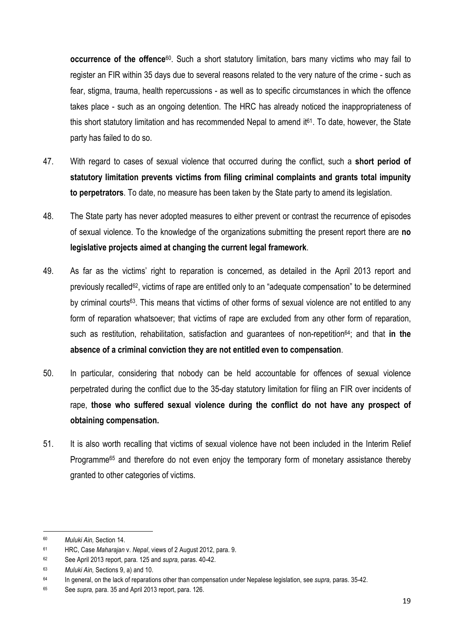**occurrence of the offence**60. Such a short statutory limitation, bars many victims who may fail to register an FIR within 35 days due to several reasons related to the very nature of the crime - such as fear, stigma, trauma, health repercussions - as well as to specific circumstances in which the offence takes place - such as an ongoing detention. The HRC has already noticed the inappropriateness of this short statutory limitation and has recommended Nepal to amend  $it<sup>61</sup>$ . To date, however, the State party has failed to do so.

- 47. With regard to cases of sexual violence that occurred during the conflict, such a **short period of statutory limitation prevents victims from filing criminal complaints and grants total impunity to perpetrators**. To date, no measure has been taken by the State party to amend its legislation.
- 48. The State party has never adopted measures to either prevent or contrast the recurrence of episodes of sexual violence. To the knowledge of the organizations submitting the present report there are **no legislative projects aimed at changing the current legal framework**.
- 49. As far as the victims' right to reparation is concerned, as detailed in the April 2013 report and previously recalled62, victims of rape are entitled only to an "adequate compensation" to be determined by criminal courts63. This means that victims of other forms of sexual violence are not entitled to any form of reparation whatsoever; that victims of rape are excluded from any other form of reparation, such as restitution, rehabilitation, satisfaction and guarantees of non-repetition64; and that **in the absence of a criminal conviction they are not entitled even to compensation**.
- 50. In particular, considering that nobody can be held accountable for offences of sexual violence perpetrated during the conflict due to the 35-day statutory limitation for filing an FIR over incidents of rape, **those who suffered sexual violence during the conflict do not have any prospect of obtaining compensation.**
- 51. It is also worth recalling that victims of sexual violence have not been included in the Interim Relief Programme65 and therefore do not even enjoy the temporary form of monetary assistance thereby granted to other categories of victims.

 

<sup>60</sup> *Muluki Ain,* Section 14.

<sup>61</sup> HRC, Case *Maharajan* v. *Nepal*, views of 2 August 2012, para. 9.

<sup>62</sup> See April 2013 report, para. 125 and *supra,* paras. 40-42.

<sup>63</sup> *Muluki Ain,* Sections 9, a) and 10.

<sup>64</sup> In general, on the lack of reparations other than compensation under Nepalese legislation, see *supra,* paras. 35-42.

<sup>65</sup> See *supra,* para. 35 and April 2013 report, para. 126.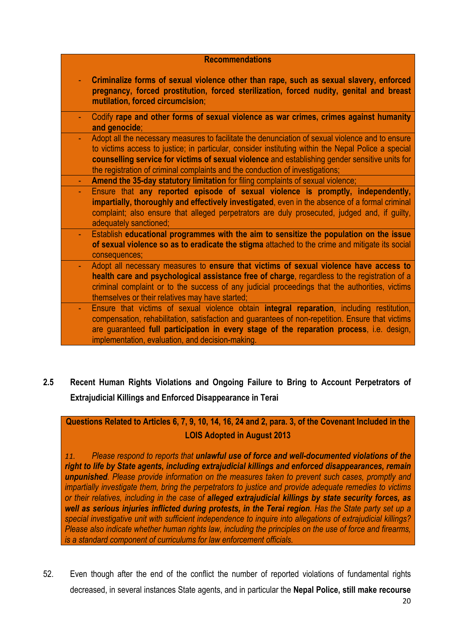| <b>Recommendations</b> |                                                                                                                                                                                                                                                                                                                                                                                            |
|------------------------|--------------------------------------------------------------------------------------------------------------------------------------------------------------------------------------------------------------------------------------------------------------------------------------------------------------------------------------------------------------------------------------------|
|                        | Criminalize forms of sexual violence other than rape, such as sexual slavery, enforced<br>pregnancy, forced prostitution, forced sterilization, forced nudity, genital and breast<br>mutilation, forced circumcision;                                                                                                                                                                      |
|                        | Codify rape and other forms of sexual violence as war crimes, crimes against humanity<br>and genocide;                                                                                                                                                                                                                                                                                     |
|                        | Adopt all the necessary measures to facilitate the denunciation of sexual violence and to ensure<br>to victims access to justice; in particular, consider instituting within the Nepal Police a special<br>counselling service for victims of sexual violence and establishing gender sensitive units for<br>the registration of criminal complaints and the conduction of investigations; |
|                        | Amend the 35-day statutory limitation for filing complaints of sexual violence;                                                                                                                                                                                                                                                                                                            |
|                        | Ensure that any reported episode of sexual violence is promptly, independently,<br>impartially, thoroughly and effectively investigated, even in the absence of a formal criminal<br>complaint; also ensure that alleged perpetrators are duly prosecuted, judged and, if guilty,<br>adequately sanctioned;                                                                                |
|                        | Establish educational programmes with the aim to sensitize the population on the issue<br>of sexual violence so as to eradicate the stigma attached to the crime and mitigate its social<br>consequences;                                                                                                                                                                                  |
|                        | Adopt all necessary measures to ensure that victims of sexual violence have access to<br>health care and psychological assistance free of charge, regardless to the registration of a<br>criminal complaint or to the success of any judicial proceedings that the authorities, victims<br>themselves or their relatives may have started;                                                 |
|                        | Ensure that victims of sexual violence obtain <b>integral reparation</b> , including restitution,<br>compensation, rehabilitation, satisfaction and guarantees of non-repetition. Ensure that victims<br>are guaranteed full participation in every stage of the reparation process, i.e. design,<br>implementation, evaluation, and decision-making.                                      |

**2.5 Recent Human Rights Violations and Ongoing Failure to Bring to Account Perpetrators of Extrajudicial Killings and Enforced Disappearance in Terai**

**Questions Related to Articles 6, 7, 9, 10, 14, 16, 24 and 2, para. 3, of the Covenant Included in the LOIS Adopted in August 2013**

*11. Please respond to reports that unlawful use of force and well-documented violations of the right to life by State agents, including extrajudicial killings and enforced disappearances, remain unpunished. Please provide information on the measures taken to prevent such cases, promptly and impartially investigate them, bring the perpetrators to justice and provide adequate remedies to victims or their relatives, including in the case of alleged extrajudicial killings by state security forces, as well as serious injuries inflicted during protests, in the Terai region. Has the State party set up a special investigative unit with sufficient independence to inquire into allegations of extrajudicial killings? Please also indicate whether human rights law, including the principles on the use of force and firearms, is a standard component of curriculums for law enforcement officials.*

52. Even though after the end of the conflict the number of reported violations of fundamental rights decreased, in several instances State agents, and in particular the **Nepal Police, still make recourse**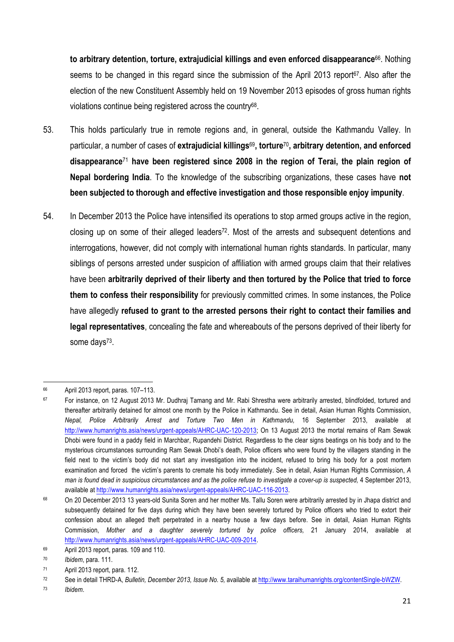**to arbitrary detention, torture, extrajudicial killings and even enforced disappearance**66. Nothing seems to be changed in this regard since the submission of the April 2013 report  $67$ . Also after the election of the new Constituent Assembly held on 19 November 2013 episodes of gross human rights violations continue being registered across the country68.

- 53. This holds particularly true in remote regions and, in general, outside the Kathmandu Valley. In particular, a number of cases of **extrajudicial killings**69**, torture**70**, arbitrary detention, and enforced disappearance**<sup>71</sup> **have been registered since 2008 in the region of Terai, the plain region of Nepal bordering India**. To the knowledge of the subscribing organizations, these cases have **not been subjected to thorough and effective investigation and those responsible enjoy impunity**.
- 54. In December 2013 the Police have intensified its operations to stop armed groups active in the region, closing up on some of their alleged leaders<sup>72</sup>. Most of the arrests and subsequent detentions and interrogations, however, did not comply with international human rights standards. In particular, many siblings of persons arrested under suspicion of affiliation with armed groups claim that their relatives have been **arbitrarily deprived of their liberty and then tortured by the Police that tried to force them to confess their responsibility** for previously committed crimes. In some instances, the Police have allegedly **refused to grant to the arrested persons their right to contact their families and legal representatives**, concealing the fate and whereabouts of the persons deprived of their liberty for some days<sup>73</sup>.

 <sup>66</sup> April 2013 report, paras. 107–113.

<sup>67</sup> For instance, on 12 August 2013 Mr. Dudhraj Tamang and Mr. Rabi Shrestha were arbitrarily arrested, blindfolded, tortured and thereafter arbitrarily detained for almost one month by the Police in Kathmandu. See in detail, Asian Human Rights Commission, *Nepal, Police Arbitrarily Arrest and Torture Two Men in Kathmandu,* 16 September 2013, available at http://www.humanrights.asia/news/urgent-appeals/AHRC-UAC-120-2013; On 13 August 2013 the mortal remains of Ram Sewak Dhobi were found in a paddy field in Marchbar, Rupandehi District. Regardless to the clear signs beatings on his body and to the mysterious circumstances surrounding Ram Sewak Dhobi's death, Police officers who were found by the villagers standing in the field next to the victim's body did not start any investigation into the incident, refused to bring his body for a post mortem examination and forced the victim's parents to cremate his body immediately. See in detail, Asian Human Rights Commission, *A*  man is found dead in suspicious circumstances and as the police refuse to investigate a cover-up is suspected, 4 September 2013, available at http://www.humanrights.asia/news/urgent-appeals/AHRC-UAC-116-2013.

<sup>68</sup> On 20 December 2013 13 years-old Sunita Soren and her mother Ms. Tallu Soren were arbitrarily arrested by in Jhapa district and subsequently detained for five days during which they have been severely tortured by Police officers who tried to extort their confession about an alleged theft perpetrated in a nearby house a few days before. See in detail, Asian Human Rights Commission, *Mother and a daughter severely tortured by police officers,* 21 January 2014, available at http://www.humanrights.asia/news/urgent-appeals/AHRC-UAC-009-2014.

 $69$  April 2013 report, paras, 109 and 110.

<sup>70</sup> *Ibidem*, para. 111.

<sup>71</sup> April 2013 report, para. 112.

<sup>72</sup> See in detail THRD-A, *Bulletin, December 2013, Issue No. 5,* available at http://www.taraihumanrights.org/contentSingle-bWZW.

<sup>73</sup> *Ibidem*.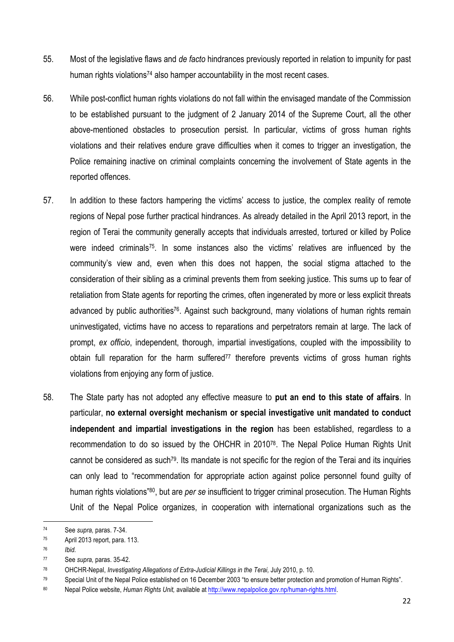- 55. Most of the legislative flaws and *de facto* hindrances previously reported in relation to impunity for past human rights violations<sup>74</sup> also hamper accountability in the most recent cases.
- 56. While post-conflict human rights violations do not fall within the envisaged mandate of the Commission to be established pursuant to the judgment of 2 January 2014 of the Supreme Court, all the other above-mentioned obstacles to prosecution persist. In particular, victims of gross human rights violations and their relatives endure grave difficulties when it comes to trigger an investigation, the Police remaining inactive on criminal complaints concerning the involvement of State agents in the reported offences.
- 57. In addition to these factors hampering the victims' access to justice, the complex reality of remote regions of Nepal pose further practical hindrances. As already detailed in the April 2013 report, in the region of Terai the community generally accepts that individuals arrested, tortured or killed by Police were indeed criminals<sup>75</sup>. In some instances also the victims' relatives are influenced by the community's view and, even when this does not happen, the social stigma attached to the consideration of their sibling as a criminal prevents them from seeking justice. This sums up to fear of retaliation from State agents for reporting the crimes, often ingenerated by more or less explicit threats advanced by public authorities<sup>76</sup>. Against such background, many violations of human rights remain uninvestigated, victims have no access to reparations and perpetrators remain at large. The lack of prompt, *ex officio*, independent, thorough, impartial investigations, coupled with the impossibility to obtain full reparation for the harm suffered<sup>77</sup> therefore prevents victims of gross human rights violations from enjoying any form of justice.
- 58. The State party has not adopted any effective measure to **put an end to this state of affairs**. In particular, **no external oversight mechanism or special investigative unit mandated to conduct independent and impartial investigations in the region** has been established, regardless to a recommendation to do so issued by the OHCHR in 201078. The Nepal Police Human Rights Unit cannot be considered as such79. Its mandate is not specific for the region of the Terai and its inquiries can only lead to "recommendation for appropriate action against police personnel found guilty of human rights violations"80, but are *per se* insufficient to trigger criminal prosecution. The Human Rights Unit of the Nepal Police organizes, in cooperation with international organizations such as the

<u> 1989 - Jan Samuel Barbara, margaret e</u>

<sup>74</sup> See *supra,* paras. 7-34.

<sup>75</sup> April 2013 report, para. 113.

<sup>76</sup> *Ibid.*

<sup>77</sup> See *supra,* paras. 35-42.

<sup>78</sup> OHCHR-Nepal, *Investigating Allegations of Extra-Judicial Killings in the Terai,* July 2010, p. 10.

<sup>79</sup> Special Unit of the Nepal Police established on 16 December 2003 "to ensure better protection and promotion of Human Rights".

<sup>80</sup> Nepal Police website, *Human Rights Unit,* available at http://www.nepalpolice.gov.np/human-rights.html.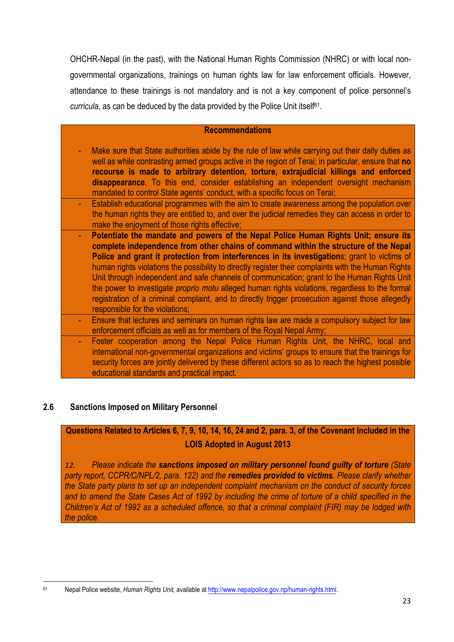OHCHR-Nepal (in the past), with the National Human Rights Commission (NHRC) or with local nongovernmental organizations, trainings on human rights law for law enforcement officials. However, attendance to these trainings is not mandatory and is not a key component of police personnel's *curricula*, as can be deduced by the data provided by the Police Unit itself<sup>81</sup>.

### **Recommendations**

- Make sure that State authorities abide by the rule of law while carrying out their daily duties as well as while contrasting armed groups active in the region of Terai; in particular, ensure that **no recourse is made to arbitrary detention, torture, extrajudicial killings and enforced disappearance**. To this end, consider establishing an independent oversight mechanism mandated to control State agents' conduct, with a specific focus on Terai;
- Establish educational programmes with the aim to create awareness among the population over the human rights they are entitled to, and over the judicial remedies they can access in order to make the enjoyment of those rights effective;
- **Potentiate the mandate and powers of the Nepal Police Human Rights Unit; ensure its complete independence from other chains of command within the structure of the Nepal Police and grant it protection from interferences in its investigation**s; grant to victims of human rights violations the possibility to directly register their complaints with the Human Rights Unit through independent and safe channels of communication; grant to the Human Rights Unit the power to investigate *proprio motu* alleged human rights violations, regardless to the formal registration of a criminal complaint, and to directly trigger prosecution against those allegedly responsible for the violations;
- Ensure that lectures and seminars on human rights law are made a compulsory subject for law enforcement officials as well as for members of the Royal Nepal Army;
- Foster cooperation among the Nepal Police Human Rights Unit, the NHRC, local and international non-governmental organizations and victims' groups to ensure that the trainings for security forces are jointly delivered by these different actors so as to reach the highest possible educational standards and practical impact.

## **2.6 Sanctions Imposed on Military Personnel**

## **Questions Related to Articles 6, 7, 9, 10, 14, 16, 24 and 2, para. 3, of the Covenant Included in the LOIS Adopted in August 2013**

*12. Please indicate the sanctions imposed on military personnel found guilty of torture (State party report, CCPR/C/NPL/2, para. 122) and the remedies provided to victims. Please clarify whether the State party plans to set up an independent complaint mechanism on the conduct of security forces*  and to amend the State Cases Act of 1992 by including the crime of torture of a child specified in the *Children's Act of 1992 as a scheduled offence, so that a criminal complaint (FIR) may be lodged with the police.*

<sup>&</sup>lt;u> 1989 - Johann Stein, fransk politiker (d. 1989)</u> <sup>81</sup> Nepal Police website, *Human Rights Unit,* available at http://www.nepalpolice.gov.np/human-rights.html.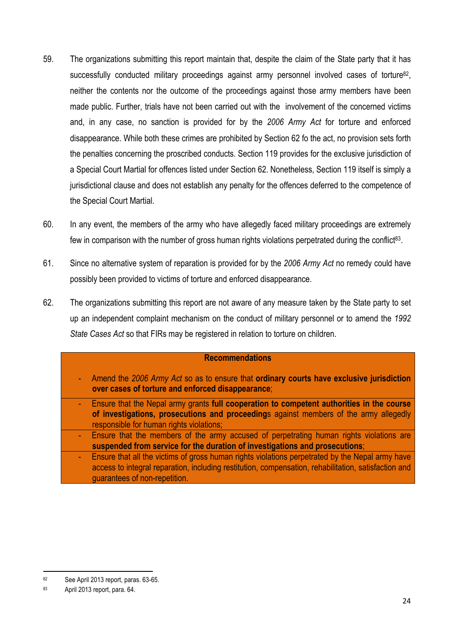- 59. The organizations submitting this report maintain that, despite the claim of the State party that it has successfully conducted military proceedings against army personnel involved cases of torture $^{82}$ , neither the contents nor the outcome of the proceedings against those army members have been made public. Further, trials have not been carried out with the involvement of the concerned victims and, in any case, no sanction is provided for by the *2006 Army Act* for torture and enforced disappearance. While both these crimes are prohibited by Section 62 fo the act, no provision sets forth the penalties concerning the proscribed conducts. Section 119 provides for the exclusive jurisdiction of a Special Court Martial for offences listed under Section 62. Nonetheless, Section 119 itself is simply a jurisdictional clause and does not establish any penalty for the offences deferred to the competence of the Special Court Martial.
- 60. In any event, the members of the army who have allegedly faced military proceedings are extremely few in comparison with the number of gross human rights violations perpetrated during the conflict<sup>83</sup>.
- 61. Since no alternative system of reparation is provided for by the *2006 Army Act* no remedy could have possibly been provided to victims of torture and enforced disappearance.
- 62. The organizations submitting this report are not aware of any measure taken by the State party to set up an independent complaint mechanism on the conduct of military personnel or to amend the *1992 State Cases Act* so that FIRs may be registered in relation to torture on children.

### **Recommendations**

- Amend the *2006 Army Act* so as to ensure that **ordinary courts have exclusive jurisdiction over cases of torture and enforced disappearance**;
- Ensure that the Nepal army grants **full cooperation to competent authorities in the course of investigations, prosecutions and proceeding**s against members of the army allegedly responsible for human rights violations;
- Ensure that the members of the army accused of perpetrating human rights violations are **suspended from service for the duration of investigations and prosecutions**;
	- Ensure that all the victims of gross human rights violations perpetrated by the Nepal army have access to integral reparation, including restitution, compensation, rehabilitation, satisfaction and guarantees of non-repetition.

<sup>&</sup>lt;u> 1989 - Johann Stein, fransk politiker (d. 1989)</u> <sup>82</sup> See April 2013 report, paras. 63-65.

<sup>83</sup> April 2013 report, para. 64.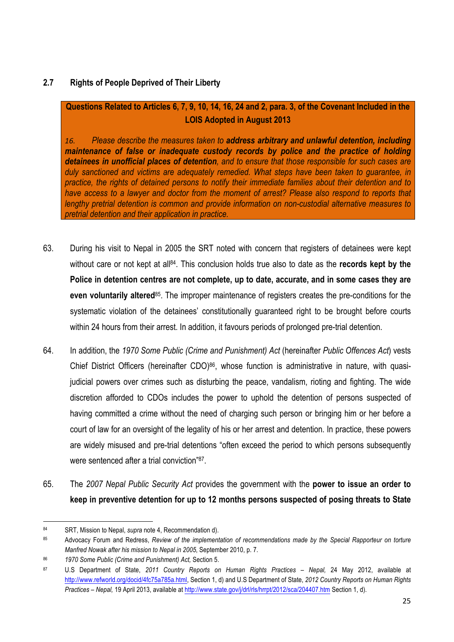## **2.7 Rights of People Deprived of Their Liberty**

## **Questions Related to Articles 6, 7, 9, 10, 14, 16, 24 and 2, para. 3, of the Covenant Included in the LOIS Adopted in August 2013**

*16. Please describe the measures taken to address arbitrary and unlawful detention, including maintenance of false or inadequate custody records by police and the practice of holding detainees in unofficial places of detention, and to ensure that those responsible for such cases are duly sanctioned and victims are adequately remedied. What steps have been taken to guarantee, in practice, the rights of detained persons to notify their immediate families about their detention and to have access to a lawyer and doctor from the moment of arrest? Please also respond to reports that lengthy pretrial detention is common and provide information on non-custodial alternative measures to pretrial detention and their application in practice.*

- 63. During his visit to Nepal in 2005 the SRT noted with concern that registers of detainees were kept without care or not kept at all<sup>84</sup>. This conclusion holds true also to date as the **records kept by the Police in detention centres are not complete, up to date, accurate, and in some cases they are even voluntarily altered**85. The improper maintenance of registers creates the pre-conditions for the systematic violation of the detainees' constitutionally guaranteed right to be brought before courts within 24 hours from their arrest. In addition, it favours periods of prolonged pre-trial detention.
- 64. In addition, the *1970 Some Public (Crime and Punishment) Act* (hereinafter *Public Offences Act*) vests Chief District Officers (hereinafter CDO)<sup>86</sup>, whose function is administrative in nature, with quasijudicial powers over crimes such as disturbing the peace, vandalism, rioting and fighting. The wide discretion afforded to CDOs includes the power to uphold the detention of persons suspected of having committed a crime without the need of charging such person or bringing him or her before a court of law for an oversight of the legality of his or her arrest and detention. In practice, these powers are widely misused and pre-trial detentions "often exceed the period to which persons subsequently were sentenced after a trial conviction"87.
- 65. The *2007 Nepal Public Security Act* provides the government with the **power to issue an order to keep in preventive detention for up to 12 months persons suspected of posing threats to State**

<sup>&</sup>lt;u> 1989 - Johann Stein, fransk politiker (d. 1989)</u> <sup>84</sup> SRT, Mission to Nepal, *supra* note 4, Recommendation d).

<sup>85</sup> Advocacy Forum and Redress, *Review of the implementation of recommendations made by the Special Rapporteur on torture Manfred Nowak after his mission to Nepal in 2005*, September 2010, p. 7.

<sup>86</sup> *1970 Some Public (Crime and Punishment) Act,* Section 5.

<sup>87</sup> U.S Department of State, *2011 Country Reports on Human Rights Practices – Nepal,* 24 May 2012, available at http://www.refworld.org/docid/4fc75a785a.html, Section 1, d) and U.S Department of State, *2012 Country Reports on Human Rights Practices – Nepal,* 19 April 2013, available at http://www.state.gov/j/drl/rls/hrrpt/2012/sca/204407.htm Section 1, d).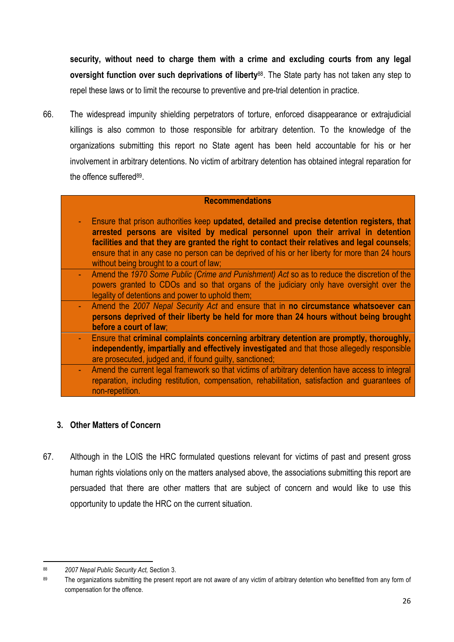**security, without need to charge them with a crime and excluding courts from any legal oversight function over such deprivations of liberty**88. The State party has not taken any step to repel these laws or to limit the recourse to preventive and pre-trial detention in practice.

66. The widespread impunity shielding perpetrators of torture, enforced disappearance or extrajudicial killings is also common to those responsible for arbitrary detention. To the knowledge of the organizations submitting this report no State agent has been held accountable for his or her involvement in arbitrary detentions. No victim of arbitrary detention has obtained integral reparation for the offence suffered<sup>89</sup>.

## **Recommendations**

- Ensure that prison authorities keep **updated, detailed and precise detention registers, that arrested persons are visited by medical personnel upon their arrival in detention facilities and that they are granted the right to contact their relatives and legal counsels**; ensure that in any case no person can be deprived of his or her liberty for more than 24 hours without being brought to a court of law;
- Amend the *1970 Some Public (Crime and Punishment) Act* so as to reduce the discretion of the powers granted to CDOs and so that organs of the judiciary only have oversight over the legality of detentions and power to uphold them;
- Amend the *2007 Nepal Security Act* and ensure that in **no circumstance whatsoever can persons deprived of their liberty be held for more than 24 hours without being brought before a court of law**;
- Ensure that **criminal complaints concerning arbitrary detention are promptly, thoroughly, independently, impartially and effectively investigated** and that those allegedly responsible are prosecuted, judged and, if found guilty, sanctioned;
- Amend the current legal framework so that victims of arbitrary detention have access to integral reparation, including restitution, compensation, rehabilitation, satisfaction and guarantees of non-repetition.

## **3. Other Matters of Concern**

67. Although in the LOIS the HRC formulated questions relevant for victims of past and present gross human rights violations only on the matters analysed above, the associations submitting this report are persuaded that there are other matters that are subject of concern and would like to use this opportunity to update the HRC on the current situation.

 <sup>88</sup> *2007 Nepal Public Security Act,* Section 3.

<sup>89</sup> The organizations submitting the present report are not aware of any victim of arbitrary detention who benefitted from any form of compensation for the offence.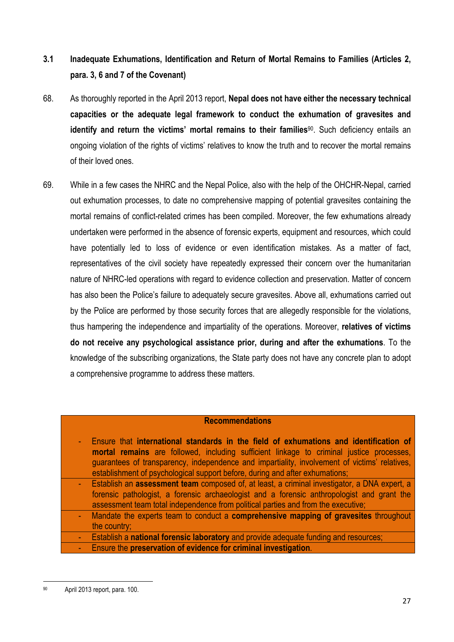## **3.1 Inadequate Exhumations, Identification and Return of Mortal Remains to Families (Articles 2, para. 3, 6 and 7 of the Covenant)**

- 68. As thoroughly reported in the April 2013 report, **Nepal does not have either the necessary technical capacities or the adequate legal framework to conduct the exhumation of gravesites and identify and return the victims' mortal remains to their families**90. Such deficiency entails an ongoing violation of the rights of victims' relatives to know the truth and to recover the mortal remains of their loved ones.
- 69. While in a few cases the NHRC and the Nepal Police, also with the help of the OHCHR-Nepal, carried out exhumation processes, to date no comprehensive mapping of potential gravesites containing the mortal remains of conflict-related crimes has been compiled. Moreover, the few exhumations already undertaken were performed in the absence of forensic experts, equipment and resources, which could have potentially led to loss of evidence or even identification mistakes. As a matter of fact, representatives of the civil society have repeatedly expressed their concern over the humanitarian nature of NHRC-led operations with regard to evidence collection and preservation. Matter of concern has also been the Police's failure to adequately secure gravesites. Above all, exhumations carried out by the Police are performed by those security forces that are allegedly responsible for the violations, thus hampering the independence and impartiality of the operations. Moreover, **relatives of victims do not receive any psychological assistance prior, during and after the exhumations**. To the knowledge of the subscribing organizations, the State party does not have any concrete plan to adopt a comprehensive programme to address these matters.

## **Recommendations**

- Ensure that **international standards in the field of exhumations and identification of mortal remains** are followed, including sufficient linkage to criminal justice processes, guarantees of transparency, independence and impartiality, involvement of victims' relatives, establishment of psychological support before, during and after exhumations;
- Establish an **assessment team** composed of, at least, a criminal investigator, a DNA expert, a forensic pathologist, a forensic archaeologist and a forensic anthropologist and grant the assessment team total independence from political parties and from the executive;
- Mandate the experts team to conduct a **comprehensive mapping of gravesites** throughout the country;
- Establish a **national forensic laboratory** and provide adequate funding and resources; - Ensure the **preservation of evidence for criminal investigation**.

<sup>&</sup>lt;u> 1989 - Johann Stein, fransk politiker (d. 1989)</u> <sup>90</sup> April 2013 report, para. 100.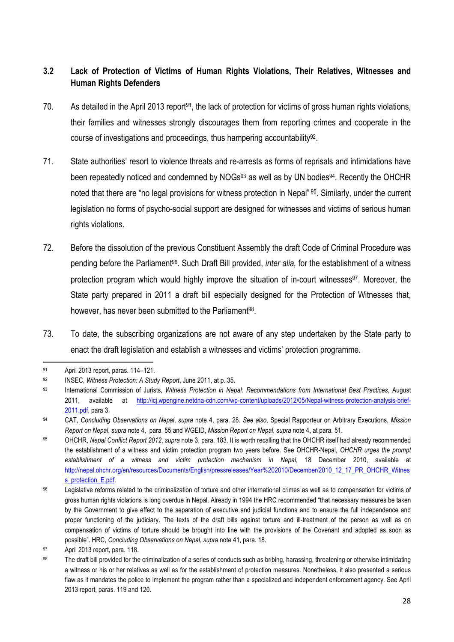## **3.2 Lack of Protection of Victims of Human Rights Violations, Their Relatives, Witnesses and Human Rights Defenders**

- 70. As detailed in the April 2013 report<sup>91</sup>, the lack of protection for victims of gross human rights violations, their families and witnesses strongly discourages them from reporting crimes and cooperate in the course of investigations and proceedings, thus hampering accountability<sup>92</sup>.
- 71. State authorities' resort to violence threats and re-arrests as forms of reprisals and intimidations have been repeatedly noticed and condemned by NOGs<sup>93</sup> as well as by UN bodies<sup>94</sup>. Recently the OHCHR noted that there are "no legal provisions for witness protection in Nepal" 95. Similarly, under the current legislation no forms of psycho-social support are designed for witnesses and victims of serious human rights violations.
- 72. Before the dissolution of the previous Constituent Assembly the draft Code of Criminal Procedure was pending before the Parliament96. Such Draft Bill provided, *inter alia,* for the establishment of a witness protection program which would highly improve the situation of in-court witnesses<sup>97</sup>. Moreover, the State party prepared in 2011 a draft bill especially designed for the Protection of Witnesses that, however, has never been submitted to the Parliament<sup>98</sup>.
- 73. To date, the subscribing organizations are not aware of any step undertaken by the State party to enact the draft legislation and establish a witnesses and victims' protection programme.

<sup>&</sup>lt;u> 1989 - Johann Stein, fransk politiker (d. 1989)</u> <sup>91</sup> April 2013 report, paras. 114–121.

<sup>92</sup> INSEC, *Witness Protection: A Study Report*, June 2011, at p. 35.

<sup>93</sup> International Commission of Jurists, *Witness Protection in Nepal: Recommendations from International Best Practices*, August 2011, available at http://icj.wpengine.netdna-cdn.com/wp-content/uploads/2012/05/Nepal-witness-protection-analysis-brief-2011.pdf, para 3.

<sup>94</sup> CAT, *Concluding Observations on Nepal*, *supra* note 4, para. 28. *See also*, Special Rapporteur on Arbitrary Executions, *Mission Report on Nepal*, *supra* note 4, para. 55 and WGEID, *Mission Report on Nepal*, *supra* note 4, at para. 51.

<sup>95</sup> OHCHR, *Nepal Conflict Report 2012*, *supra* note 3, para. 183. It is worth recalling that the OHCHR itself had already recommended the establishment of a witness and victim protection program two years before. See OHCHR-Nepal, *OHCHR urges the prompt establishment of a witness and victim protection mechanism in Nepal*, 18 December 2010, available at http://nepal.ohchr.org/en/resources/Documents/English/pressreleases/Year%202010/December/2010\_12\_17\_PR\_OHCHR\_Witnes s\_protection\_E.pdf.

<sup>96</sup> Legislative reforms related to the criminalization of torture and other international crimes as well as to compensation for victims of gross human rights violations is long overdue in Nepal. Already in 1994 the HRC recommended "that necessary measures be taken by the Government to give effect to the separation of executive and judicial functions and to ensure the full independence and proper functioning of the judiciary. The texts of the draft bills against torture and ill-treatment of the person as well as on compensation of victims of torture should be brought into line with the provisions of the Covenant and adopted as soon as possible". HRC, *Concluding Observations on Nepal*, *supra* note 41, para. 18.

<sup>97</sup> April 2013 report, para. 118.

<sup>98</sup> The draft bill provided for the criminalization of a series of conducts such as bribing, harassing, threatening or otherwise intimidating a witness or his or her relatives as well as for the establishment of protection measures. Nonetheless, it also presented a serious flaw as it mandates the police to implement the program rather than a specialized and independent enforcement agency. See April 2013 report, paras. 119 and 120.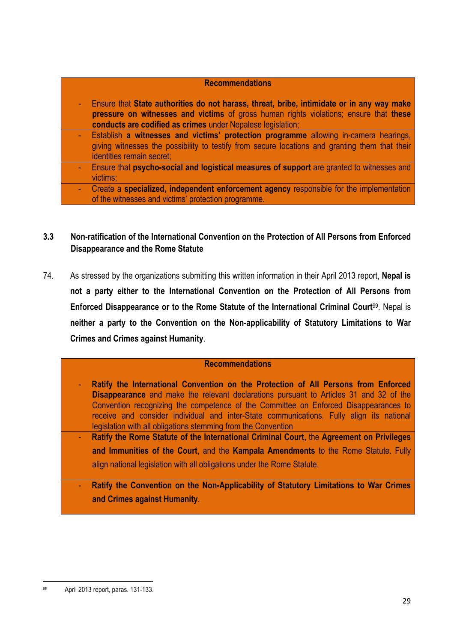## **Recommendations** - Ensure that **State authorities do not harass, threat, bribe, intimidate or in any way make pressure on witnesses and victims** of gross human rights violations; ensure that **these conducts are codified as crimes** under Nepalese legislation; - Establish **a witnesses and victims' protection programme** allowing in-camera hearings, giving witnesses the possibility to testify from secure locations and granting them that their identities remain secret; - Ensure that **psycho-social and logistical measures of support** are granted to witnesses and victims; - Create a **specialized, independent enforcement agency** responsible for the implementation of the witnesses and victims' protection programme.

## **3.3 Non-ratification of the International Convention on the Protection of All Persons from Enforced Disappearance and the Rome Statute**

74. As stressed by the organizations submitting this written information in their April 2013 report, **Nepal is not a party either to the International Convention on the Protection of All Persons from Enforced Disappearance or to the Rome Statute of the International Criminal Court**99. Nepal is **neither a party to the Convention on the Non-applicability of Statutory Limitations to War Crimes and Crimes against Humanity**.

## **Recommendations**

- **Ratify the International Convention on the Protection of All Persons from Enforced Disappearance** and make the relevant declarations pursuant to Articles 31 and 32 of the Convention recognizing the competence of the Committee on Enforced Disappearances to receive and consider individual and inter-State communications. Fully align its national legislation with all obligations stemming from the Convention
- **Ratify the Rome Statute of the International Criminal Court,** the **Agreement on Privileges and Immunities of the Court**, and the **Kampala Amendments** to the Rome Statute. Fully align national legislation with all obligations under the Rome Statute.
- **Ratify the Convention on the Non-Applicability of Statutory Limitations to War Crimes and Crimes against Humanity**.

<sup>&</sup>lt;u> 1989 - Johann Stein, fransk politiker (d. 1989)</u> <sup>99</sup> April 2013 report, paras. 131-133.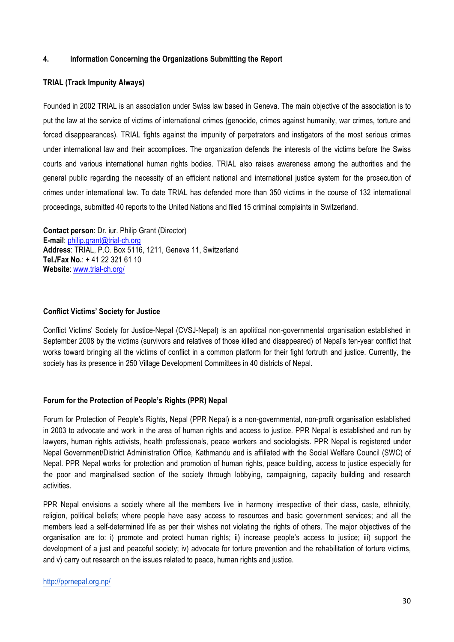### **4. Information Concerning the Organizations Submitting the Report**

### **TRIAL (Track Impunity Always)**

Founded in 2002 TRIAL is an association under Swiss law based in Geneva. The main objective of the association is to put the law at the service of victims of international crimes (genocide, crimes against humanity, war crimes, torture and forced disappearances). TRIAL fights against the impunity of perpetrators and instigators of the most serious crimes under international law and their accomplices. The organization defends the interests of the victims before the Swiss courts and various international human rights bodies. TRIAL also raises awareness among the authorities and the general public regarding the necessity of an efficient national and international justice system for the prosecution of crimes under international law. To date TRIAL has defended more than 350 victims in the course of 132 international proceedings, submitted 40 reports to the United Nations and filed 15 criminal complaints in Switzerland.

**Contact person**: Dr. iur. Philip Grant (Director) **E-mail**: philip.grant@trial-ch.org **Address**: TRIAL, P.O. Box 5116, 1211, Geneva 11, Switzerland **Tel./Fax No.**: + 41 22 321 61 10 **Website**: www.trial-ch.org/

### **Conflict Victims' Society for Justice**

Conflict Victims' Society for Justice-Nepal (CVSJ-Nepal) is an apolitical non-governmental organisation established in September 2008 by the victims (survivors and relatives of those killed and disappeared) of Nepal's ten-year conflict that works toward bringing all the victims of conflict in a common platform for their fight fortruth and justice. Currently, the society has its presence in 250 Village Development Committees in 40 districts of Nepal.

### **Forum for the Protection of People's Rights (PPR) Nepal**

Forum for Protection of People's Rights, Nepal (PPR Nepal) is a non-governmental, non-profit organisation established in 2003 to advocate and work in the area of human rights and access to justice. PPR Nepal is established and run by lawyers, human rights activists, health professionals, peace workers and sociologists. PPR Nepal is registered under Nepal Government/District Administration Office, Kathmandu and is affiliated with the Social Welfare Council (SWC) of Nepal. PPR Nepal works for protection and promotion of human rights, peace building, access to justice especially for the poor and marginalised section of the society through lobbying, campaigning, capacity building and research activities.

PPR Nepal envisions a society where all the members live in harmony irrespective of their class, caste, ethnicity, religion, political beliefs; where people have easy access to resources and basic government services; and all the members lead a self-determined life as per their wishes not violating the rights of others. The major objectives of the organisation are to: i) promote and protect human rights; ii) increase people's access to justice; iii) support the development of a just and peaceful society; iv) advocate for torture prevention and the rehabilitation of torture victims, and v) carry out research on the issues related to peace, human rights and justice.

#### http://pprnepal.org.np/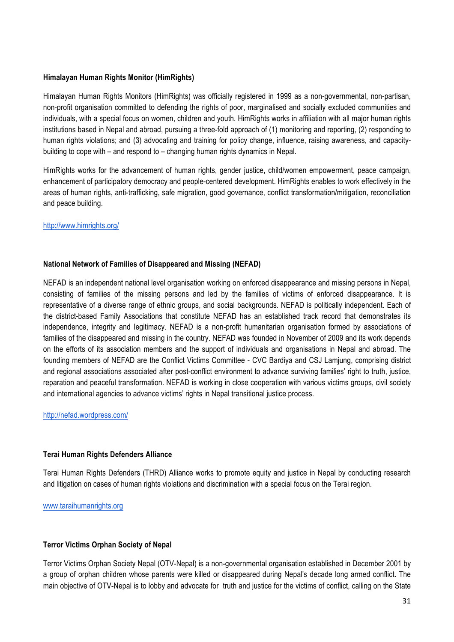### **Himalayan Human Rights Monitor (HimRights)**

Himalayan Human Rights Monitors (HimRights) was officially registered in 1999 as a non-governmental, non-partisan, non-profit organisation committed to defending the rights of poor, marginalised and socially excluded communities and individuals, with a special focus on women, children and youth. HimRights works in affiliation with all major human rights institutions based in Nepal and abroad, pursuing a three-fold approach of (1) monitoring and reporting, (2) responding to human rights violations; and (3) advocating and training for policy change, influence, raising awareness, and capacitybuilding to cope with – and respond to – changing human rights dynamics in Nepal.

HimRights works for the advancement of human rights, gender justice, child/women empowerment, peace campaign, enhancement of participatory democracy and people-centered development. HimRights enables to work effectively in the areas of human rights, anti-trafficking, safe migration, good governance, conflict transformation/mitigation, reconciliation and peace building.

### http://www.himrights.org/

### **National Network of Families of Disappeared and Missing (NEFAD)**

NEFAD is an independent national level organisation working on enforced disappearance and missing persons in Nepal, consisting of families of the missing persons and led by the families of victims of enforced disappearance. It is representative of a diverse range of ethnic groups, and social backgrounds. NEFAD is politically independent. Each of the district-based Family Associations that constitute NEFAD has an established track record that demonstrates its independence, integrity and legitimacy. NEFAD is a non-profit humanitarian organisation formed by associations of families of the disappeared and missing in the country. NEFAD was founded in November of 2009 and its work depends on the efforts of its association members and the support of individuals and organisations in Nepal and abroad. The founding members of NEFAD are the Conflict Victims Committee - CVC Bardiya and CSJ Lamjung, comprising district and regional associations associated after post-conflict environment to advance surviving families' right to truth, justice, reparation and peaceful transformation. NEFAD is working in close cooperation with various victims groups, civil society and international agencies to advance victims' rights in Nepal transitional justice process.

http://nefad.wordpress.com/

### **Terai Human Rights Defenders Alliance**

Terai Human Rights Defenders (THRD) Alliance works to promote equity and justice in Nepal by conducting research and litigation on cases of human rights violations and discrimination with a special focus on the Terai region.

www.taraihumanrights.org

### **Terror Victims Orphan Society of Nepal**

Terror Victims Orphan Society Nepal (OTV-Nepal) is a non-governmental organisation established in December 2001 by a group of orphan children whose parents were killed or disappeared during Nepal's decade long armed conflict. The main objective of OTV-Nepal is to lobby and advocate for truth and justice for the victims of conflict, calling on the State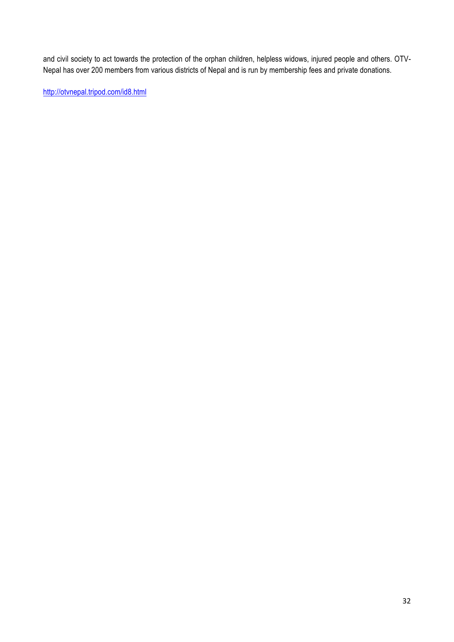and civil society to act towards the protection of the orphan children, helpless widows, injured people and others. OTV-Nepal has over 200 members from various districts of Nepal and is run by membership fees and private donations.

http://otvnepal.tripod.com/id8.html